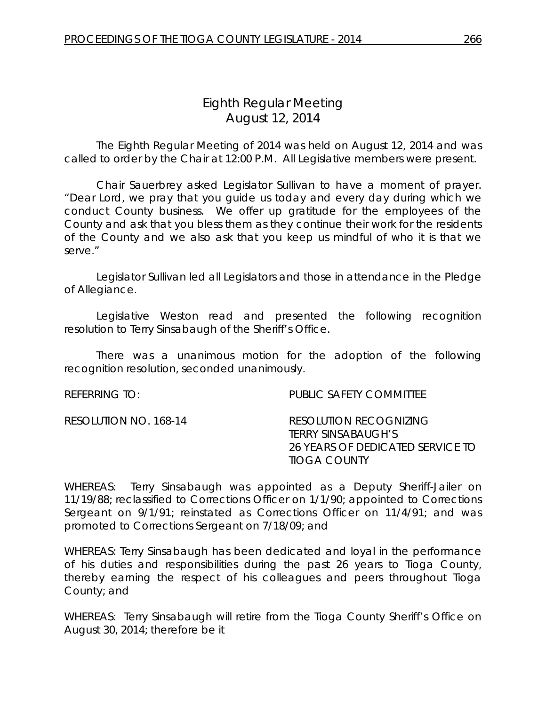# *Eighth Regular Meeting* August 12, 2014

The Eighth Regular Meeting of 2014 was held on August 12, 2014 and was called to order by the Chair at 12:00 P.M. All Legislative members were present.

Chair Sauerbrey asked Legislator Sullivan to have a moment of prayer. "Dear Lord, we pray that you guide us today and every day during which we conduct County business. We offer up gratitude for the employees of the County and ask that you bless them as they continue their work for the residents of the County and we also ask that you keep us mindful of who it is that we serve."

Legislator Sullivan led all Legislators and those in attendance in the Pledge of Allegiance.

Legislative Weston read and presented the following recognition resolution to Terry Sinsabaugh of the Sheriff's Office.

There was a unanimous motion for the adoption of the following recognition resolution, seconded unanimously.

| REFERRING TO:         | PUBLIC SAFETY COMMITTEE                                                                                        |
|-----------------------|----------------------------------------------------------------------------------------------------------------|
| RESOLUTION NO. 168-14 | <b>RESOLUTION RECOGNIZING</b><br>TERRY SINSABAUGH'S<br>26 YEARS OF DEDICATED SERVICE TO<br><b>TIOGA COUNTY</b> |

WHEREAS: Terry Sinsabaugh was appointed as a Deputy Sheriff-Jailer on 11/19/88; reclassified to Corrections Officer on 1/1/90; appointed to Corrections Sergeant on 9/1/91; reinstated as Corrections Officer on 11/4/91; and was promoted to Corrections Sergeant on 7/18/09; and

WHEREAS: Terry Sinsabaugh has been dedicated and loyal in the performance of his duties and responsibilities during the past 26 years to Tioga County, thereby earning the respect of his colleagues and peers throughout Tioga County; and

WHEREAS: Terry Sinsabaugh will retire from the Tioga County Sheriff's Office on August 30, 2014; therefore be it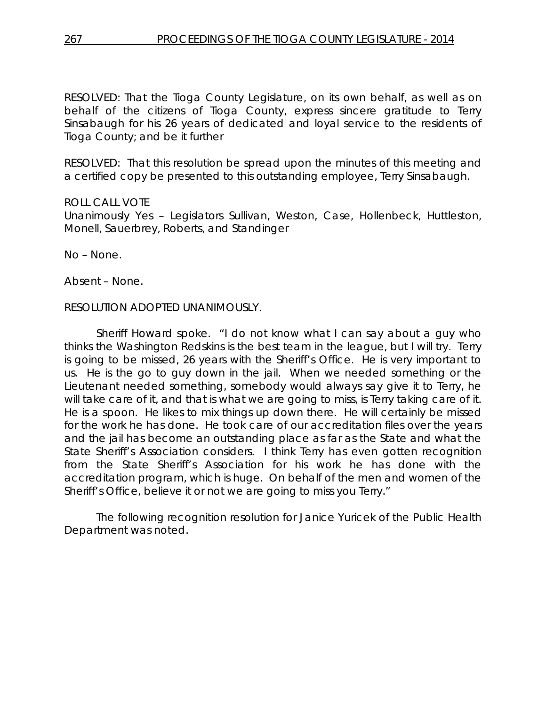RESOLVED: That the Tioga County Legislature, on its own behalf, as well as on behalf of the citizens of Tioga County, express sincere gratitude to Terry Sinsabaugh for his 26 years of dedicated and loyal service to the residents of Tioga County; and be it further

RESOLVED: That this resolution be spread upon the minutes of this meeting and a certified copy be presented to this outstanding employee, Terry Sinsabaugh.

### ROLL CALL VOTE

Unanimously Yes – Legislators Sullivan, Weston, Case, Hollenbeck, Huttleston, Monell, Sauerbrey, Roberts, and Standinger

No – None.

Absent – None.

### RESOLUTION ADOPTED UNANIMOUSLY.

Sheriff Howard spoke. "I do not know what I can say about a guy who thinks the Washington Redskins is the best team in the league, but I will try. Terry is going to be missed, 26 years with the Sheriff's Office. He is very important to us. He is the go to guy down in the jail. When we needed something or the Lieutenant needed something, somebody would always say give it to Terry, he will take care of it, and that is what we are going to miss, is Terry taking care of it. He is a spoon. He likes to mix things up down there. He will certainly be missed for the work he has done. He took care of our accreditation files over the years and the jail has become an outstanding place as far as the State and what the State Sheriff's Association considers. I think Terry has even gotten recognition from the State Sheriff's Association for his work he has done with the accreditation program, which is huge. On behalf of the men and women of the Sheriff's Office, believe it or not we are going to miss you Terry."

The following recognition resolution for Janice Yuricek of the Public Health Department was noted.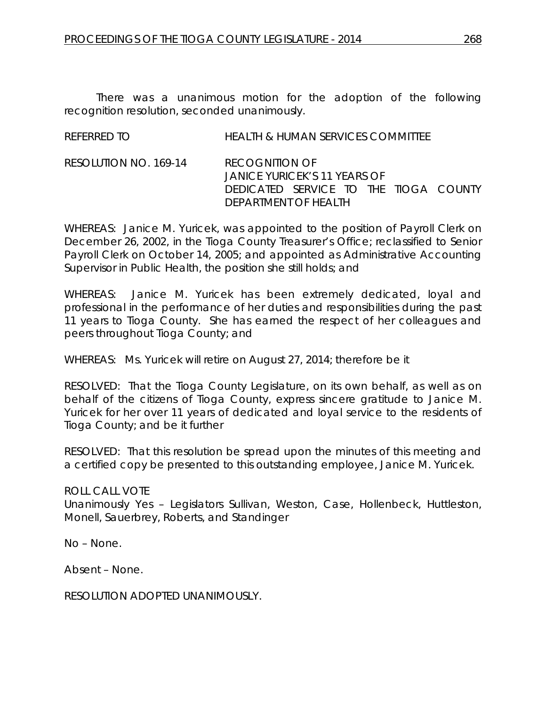There was a unanimous motion for the adoption of the following recognition resolution, seconded unanimously.

| REFERRED TO           | <b>HEALTH &amp; HUMAN SERVICES COMMITTEE</b>                                                                           |
|-----------------------|------------------------------------------------------------------------------------------------------------------------|
| RESOLUTION NO. 169-14 | <b>RECOGNITION OF</b><br>JANICE YURICEK'S 11 YEARS OF<br>DEDICATED SERVICE TO THE TIOGA COUNTY<br>DEPARTMENT OF HEALTH |

WHEREAS: Janice M. Yuricek, was appointed to the position of Payroll Clerk on December 26, 2002, in the Tioga County Treasurer's Office; reclassified to Senior Payroll Clerk on October 14, 2005; and appointed as Administrative Accounting Supervisor in Public Health, the position she still holds; and

WHEREAS: Janice M. Yuricek has been extremely dedicated, loyal and professional in the performance of her duties and responsibilities during the past 11 years to Tioga County. She has earned the respect of her colleagues and peers throughout Tioga County; and

WHEREAS: Ms. Yuricek will retire on August 27, 2014; therefore be it

RESOLVED: That the Tioga County Legislature, on its own behalf, as well as on behalf of the citizens of Tioga County, express sincere gratitude to Janice M. Yuricek for her over 11 years of dedicated and loyal service to the residents of Tioga County; and be it further

RESOLVED: That this resolution be spread upon the minutes of this meeting and a certified copy be presented to this outstanding employee, Janice M. Yuricek.

ROLL CALL VOTE Unanimously Yes – Legislators Sullivan, Weston, Case, Hollenbeck, Huttleston, Monell, Sauerbrey, Roberts, and Standinger

No – None.

Absent – None.

RESOLUTION ADOPTED UNANIMOUSLY.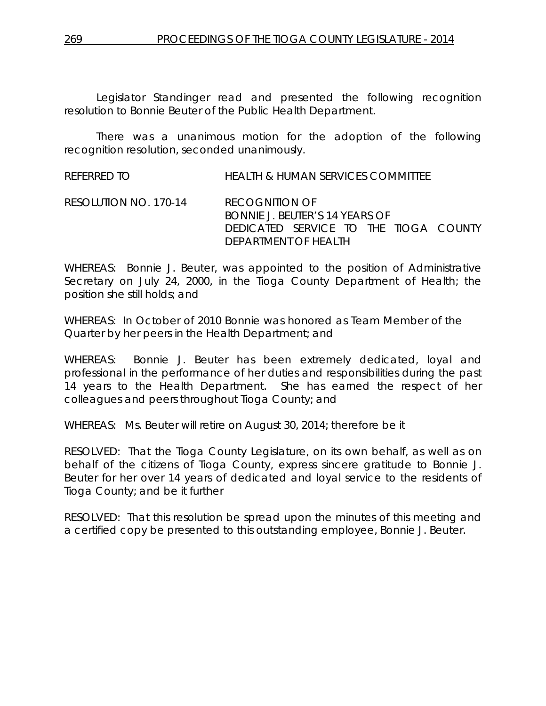Legislator Standinger read and presented the following recognition resolution to Bonnie Beuter of the Public Health Department.

There was a unanimous motion for the adoption of the following recognition resolution, seconded unanimously.

REFERRED TO HEALTH & HUMAN SERVICES COMMITTEE

RESOLUTION NO. 170-14 *RECOGNITION OF BONNIE J. BEUTER'S 14 YEARS OF DEDICATED SERVICE TO THE TIOGA COUNTY DEPARTMENT OF HEALTH*

WHEREAS: Bonnie J. Beuter, was appointed to the position of Administrative Secretary on July 24, 2000, in the Tioga County Department of Health; the position she still holds; and

WHEREAS: In October of 2010 Bonnie was honored as Team Member of the Quarter by her peers in the Health Department; and

WHEREAS: Bonnie J. Beuter has been extremely dedicated, loyal and professional in the performance of her duties and responsibilities during the past 14 years to the Health Department. She has earned the respect of her colleagues and peers throughout Tioga County; and

WHEREAS: Ms. Beuter will retire on August 30, 2014; therefore be it

RESOLVED: That the Tioga County Legislature, on its own behalf, as well as on behalf of the citizens of Tioga County, express sincere gratitude to Bonnie J. Beuter for her over 14 years of dedicated and loyal service to the residents of Tioga County; and be it further

RESOLVED: That this resolution be spread upon the minutes of this meeting and a certified copy be presented to this outstanding employee, Bonnie J. Beuter.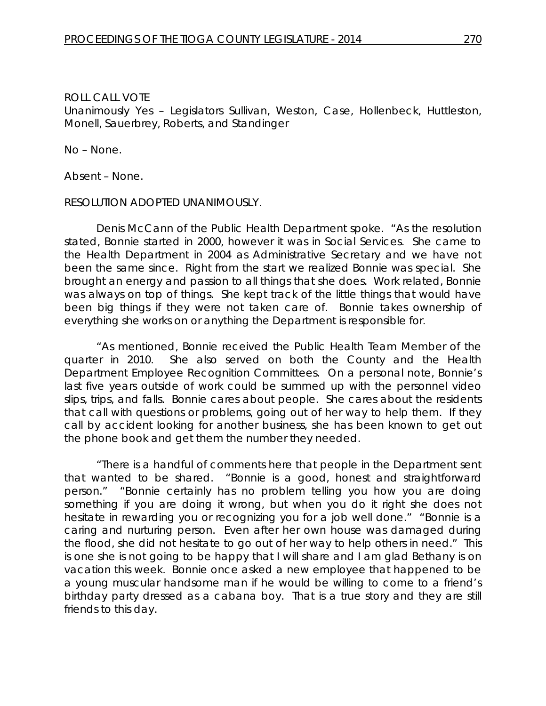### ROLL CALL VOTE Unanimously Yes – Legislators Sullivan, Weston, Case, Hollenbeck, Huttleston, Monell, Sauerbrey, Roberts, and Standinger

No – None.

Absent – None.

### RESOLUTION ADOPTED UNANIMOUSLY.

Denis McCann of the Public Health Department spoke. "As the resolution stated, Bonnie started in 2000, however it was in Social Services. She came to the Health Department in 2004 as Administrative Secretary and we have not been the same since. Right from the start we realized Bonnie was special. She brought an energy and passion to all things that she does. Work related, Bonnie was always on top of things. She kept track of the little things that would have been big things if they were not taken care of. Bonnie takes ownership of everything she works on or anything the Department is responsible for.

"As mentioned, Bonnie received the Public Health Team Member of the quarter in 2010. She also served on both the County and the Health Department Employee Recognition Committees. On a personal note, Bonnie's last five years outside of work could be summed up with the personnel video slips, trips, and falls. Bonnie cares about people. She cares about the residents that call with questions or problems, going out of her way to help them. If they call by accident looking for another business, she has been known to get out the phone book and get them the number they needed.

"There is a handful of comments here that people in the Department sent that wanted to be shared. "Bonnie is a good, honest and straightforward person." "Bonnie certainly has no problem telling you how you are doing something if you are doing it wrong, but when you do it right she does not hesitate in rewarding you or recognizing you for a job well done." "Bonnie is a caring and nurturing person. Even after her own house was damaged during the flood, she did not hesitate to go out of her way to help others in need." This is one she is not going to be happy that I will share and I am glad Bethany is on vacation this week. Bonnie once asked a new employee that happened to be a young muscular handsome man if he would be willing to come to a friend's birthday party dressed as a cabana boy. That is a true story and they are still friends to this day.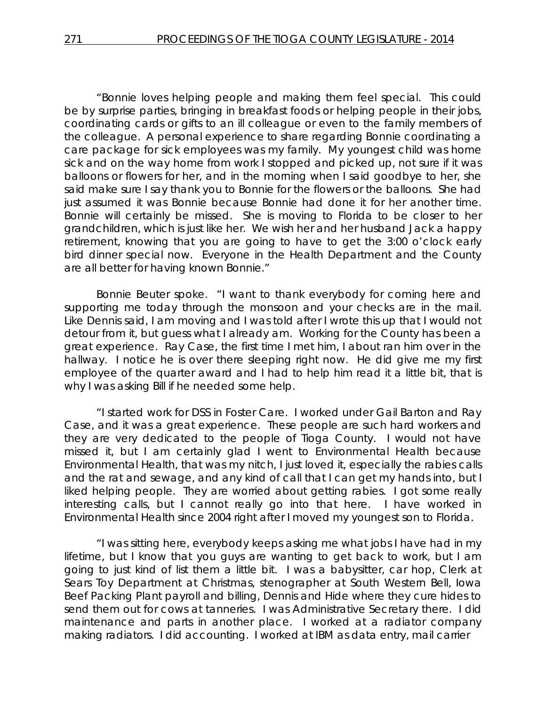"Bonnie loves helping people and making them feel special. This could be by surprise parties, bringing in breakfast foods or helping people in their jobs, coordinating cards or gifts to an ill colleague or even to the family members of the colleague. A personal experience to share regarding Bonnie coordinating a care package for sick employees was my family. My youngest child was home sick and on the way home from work I stopped and picked up, not sure if it was balloons or flowers for her, and in the morning when I said goodbye to her, she said make sure I say thank you to Bonnie for the flowers or the balloons. She had just assumed it was Bonnie because Bonnie had done it for her another time. Bonnie will certainly be missed. She is moving to Florida to be closer to her grandchildren, which is just like her. We wish her and her husband Jack a happy retirement, knowing that you are going to have to get the 3:00 o'clock early bird dinner special now. Everyone in the Health Department and the County are all better for having known Bonnie."

Bonnie Beuter spoke. "I want to thank everybody for coming here and supporting me today through the monsoon and your checks are in the mail. Like Dennis said, I am moving and I was told after I wrote this up that I would not detour from it, but guess what I already am. Working for the County has been a great experience. Ray Case, the first time I met him, I about ran him over in the hallway. I notice he is over there sleeping right now. He did give me my first employee of the quarter award and I had to help him read it a little bit, that is why I was asking Bill if he needed some help.

"I started work for DSS in Foster Care. I worked under Gail Barton and Ray Case, and it was a great experience. These people are such hard workers and they are very dedicated to the people of Tioga County. I would not have missed it, but I am certainly glad I went to Environmental Health because Environmental Health, that was my nitch, I just loved it, especially the rabies calls and the rat and sewage, and any kind of call that I can get my hands into, but I liked helping people. They are worried about getting rabies. I got some really interesting calls, but I cannot really go into that here. I have worked in Environmental Health since 2004 right after I moved my youngest son to Florida.

"I was sitting here, everybody keeps asking me what jobs I have had in my lifetime, but I know that you guys are wanting to get back to work, but I am going to just kind of list them a little bit. I was a babysitter, car hop, Clerk at Sears Toy Department at Christmas, stenographer at South Western Bell, Iowa Beef Packing Plant payroll and billing, Dennis and Hide where they cure hides to send them out for cows at tanneries. I was Administrative Secretary there. I did maintenance and parts in another place. I worked at a radiator company making radiators. I did accounting. I worked at IBM as data entry, mail carrier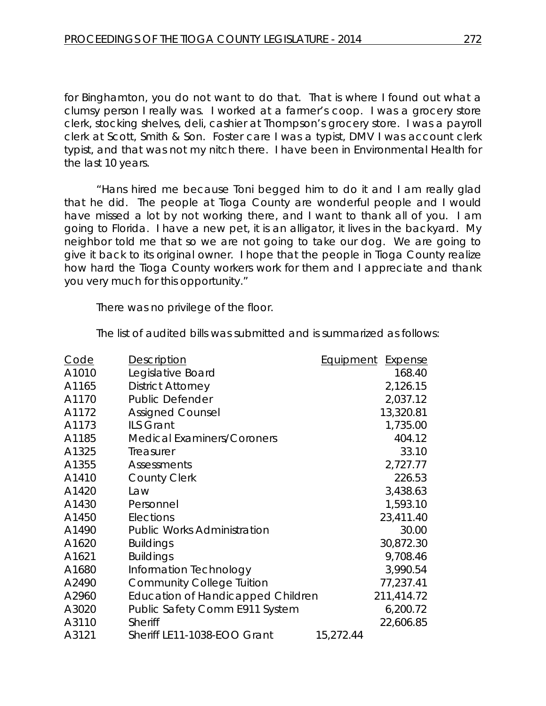for Binghamton, you do not want to do that. That is where I found out what a clumsy person I really was. I worked at a farmer's coop. I was a grocery store clerk, stocking shelves, deli, cashier at Thompson's grocery store. I was a payroll clerk at Scott, Smith & Son. Foster care I was a typist, DMV I was account clerk typist, and that was not my nitch there. I have been in Environmental Health for the last 10 years.

"Hans hired me because Toni begged him to do it and I am really glad that he did. The people at Tioga County are wonderful people and I would have missed a lot by not working there, and I want to thank all of you. I am going to Florida. I have a new pet, it is an alligator, it lives in the backyard. My neighbor told me that so we are not going to take our dog. We are going to give it back to its original owner. I hope that the people in Tioga County realize how hard the Tioga County workers work for them and I appreciate and thank you very much for this opportunity."

There was no privilege of the floor.

| Code  | <b>Description</b>                       | <b>Equipment</b> | <b>Expense</b> |
|-------|------------------------------------------|------------------|----------------|
| A1010 | Legislative Board                        |                  | 168.40         |
| A1165 | <b>District Attorney</b>                 |                  | 2,126.15       |
| A1170 | <b>Public Defender</b>                   |                  | 2,037.12       |
| A1172 | <b>Assigned Counsel</b>                  |                  | 13,320.81      |
| A1173 | <b>ILS Grant</b>                         |                  | 1,735.00       |
| A1185 | <b>Medical Examiners/Coroners</b>        |                  | 404.12         |
| A1325 | Treasurer                                |                  | 33.10          |
| A1355 | Assessments                              |                  | 2,727.77       |
| A1410 | <b>County Clerk</b>                      |                  | 226.53         |
| A1420 | Law                                      |                  | 3,438.63       |
| A1430 | Personnel                                |                  | 1,593.10       |
| A1450 | Elections                                |                  | 23,411.40      |
| A1490 | <b>Public Works Administration</b>       |                  | 30.00          |
| A1620 | <b>Buildings</b>                         |                  | 30,872.30      |
| A1621 | <b>Buildings</b>                         |                  | 9,708.46       |
| A1680 | Information Technology                   |                  | 3,990.54       |
| A2490 | <b>Community College Tuition</b>         |                  | 77,237.41      |
| A2960 | <b>Education of Handicapped Children</b> |                  | 211,414.72     |
| A3020 | Public Safety Comm E911 System           |                  | 6,200.72       |
| A3110 | <b>Sheriff</b>                           |                  | 22,606.85      |
| A3121 | Sheriff LE11-1038-EOO Grant              | 15,272.44        |                |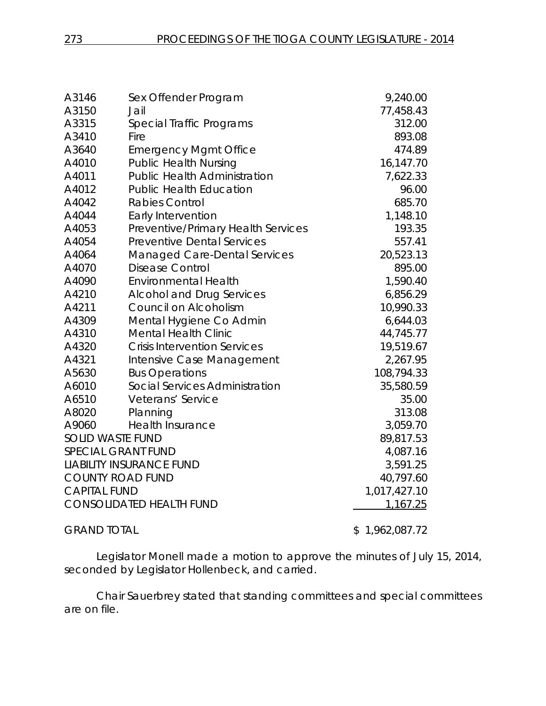| A3146                     | Sex Offender Program                | 9,240.00           |
|---------------------------|-------------------------------------|--------------------|
| A3150                     | Jail                                | 77,458.43          |
| A3315                     | Special Traffic Programs            | 312.00             |
| A3410                     | Fire                                | 893.08             |
| A3640                     | <b>Emergency Mgmt Office</b>        | 474.89             |
| A4010                     | <b>Public Health Nursing</b>        | 16,147.70          |
| A4011                     | <b>Public Health Administration</b> | 7,622.33           |
| A4012                     | <b>Public Health Education</b>      | 96.00              |
| A4042                     | <b>Rabies Control</b>               | 685.70             |
| A4044                     | Early Intervention                  | 1,148.10           |
| A4053                     | Preventive/Primary Health Services  | 193.35             |
| A4054                     | <b>Preventive Dental Services</b>   | 557.41             |
| A4064                     | Managed Care-Dental Services        | 20,523.13          |
| A4070                     | <b>Disease Control</b>              | 895.00             |
| A4090                     | <b>Environmental Health</b>         | 1,590.40           |
| A4210                     | <b>Alcohol and Drug Services</b>    | 6,856.29           |
| A4211                     | Council on Alcoholism               | 10,990.33          |
| A4309                     | Mental Hygiene Co Admin             | 6,644.03           |
| A4310                     | <b>Mental Health Clinic</b>         | 44,745.77          |
| A4320                     | <b>Crisis Intervention Services</b> | 19,519.67          |
| A4321                     | Intensive Case Management           | 2,267.95           |
| A5630                     | <b>Bus Operations</b>               | 108,794.33         |
| A6010                     | Social Services Administration      | 35,580.59          |
| A6510                     | Veterans' Service                   | 35.00              |
| A8020                     | Planning                            | 313.08             |
| A9060                     | <b>Health Insurance</b>             | 3,059.70           |
| <b>SOLID WASTE FUND</b>   |                                     | 89,817.53          |
| <b>SPECIAL GRANT FUND</b> |                                     | 4,087.16           |
|                           | <b>LIABILITY INSURANCE FUND</b>     | 3,591.25           |
| <b>COUNTY ROAD FUND</b>   |                                     | 40,797.60          |
| <b>CAPITAL FUND</b>       |                                     | 1,017,427.10       |
|                           | <b>CONSOLIDATED HEALTH FUND</b>     | 1,167.25           |
| <b>GRAND TOTAL</b>        |                                     | 1,962,087.72<br>\$ |

Legislator Monell made a motion to approve the minutes of July 15, 2014, seconded by Legislator Hollenbeck, and carried.

Chair Sauerbrey stated that standing committees and special committees are on file.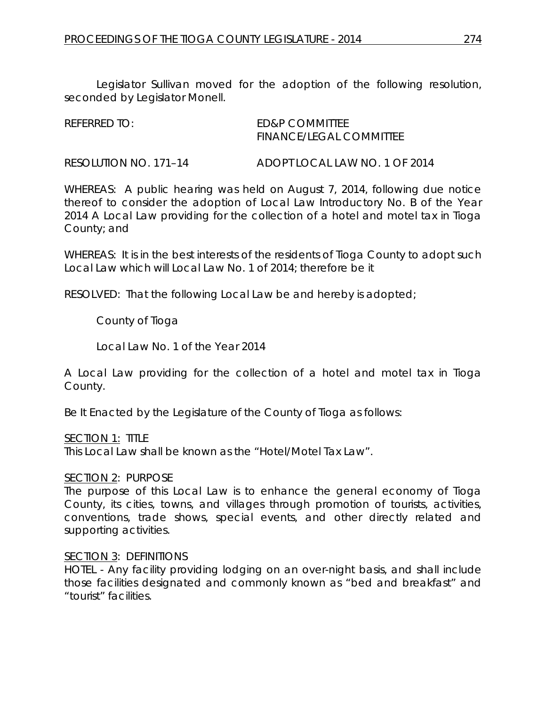Legislator Sullivan moved for the adoption of the following resolution, seconded by Legislator Monell.

| REFERRED TO: | ED&P COMMITTEE                 |
|--------------|--------------------------------|
|              | <b>FINANCE/LEGAL COMMITTEE</b> |

RESOLUTION NO. 171–14 *ADOPT LOCAL LAW NO. 1 OF 2014*

WHEREAS: A public hearing was held on August 7, 2014, following due notice thereof to consider the adoption of Local Law Introductory No. B of the Year 2014 A Local Law providing for the collection of a hotel and motel tax in Tioga County; and

WHEREAS: It is in the best interests of the residents of Tioga County to adopt such Local Law which will Local Law No. 1 of 2014; therefore be it

RESOLVED: That the following Local Law be and hereby is adopted;

County of Tioga

Local Law No. 1 of the Year 2014

A Local Law providing for the collection of a hotel and motel tax in Tioga County.

Be It Enacted by the Legislature of the County of Tioga as follows:

### SECTION 1: TITLE

This Local Law shall be known as the "Hotel/Motel Tax Law".

### SECTION 2: PURPOSE

The purpose of this Local Law is to enhance the general economy of Tioga County, its cities, towns, and villages through promotion of tourists, activities, conventions, trade shows, special events, and other directly related and supporting activities.

### SECTION 3: DEFINITIONS

HOTEL - Any facility providing lodging on an over-night basis, and shall include those facilities designated and commonly known as "bed and breakfast" and "tourist" facilities.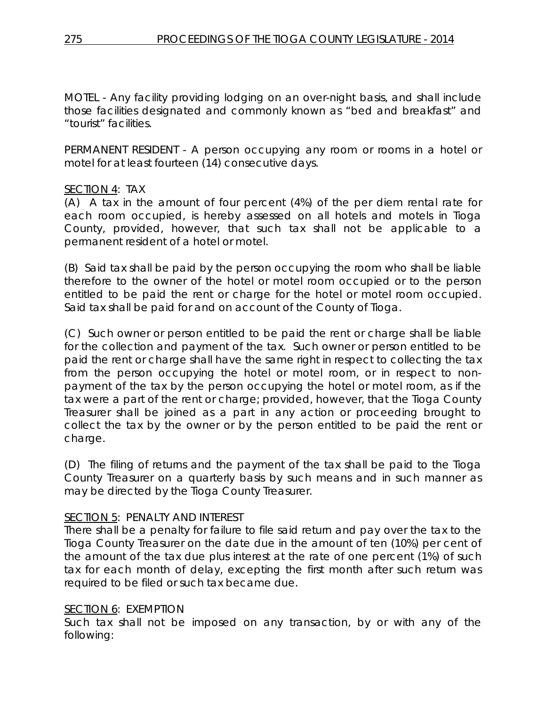MOTEL - Any facility providing lodging on an over-night basis, and shall include those facilities designated and commonly known as "bed and breakfast" and "tourist" facilities.

PERMANENT RESIDENT - A person occupying any room or rooms in a hotel or motel for at least fourteen (14) consecutive days.

## SECTION 4: TAX

(A) A tax in the amount of four percent (4%) of the per diem rental rate for each room occupied, is hereby assessed on all hotels and motels in Tioga County, provided, however, that such tax shall not be applicable to a permanent resident of a hotel or motel.

(B) Said tax shall be paid by the person occupying the room who shall be liable therefore to the owner of the hotel or motel room occupied or to the person entitled to be paid the rent or charge for the hotel or motel room occupied. Said tax shall be paid for and on account of the County of Tioga.

(C) Such owner or person entitled to be paid the rent or charge shall be liable for the collection and payment of the tax. Such owner or person entitled to be paid the rent or charge shall have the same right in respect to collecting the tax from the person occupying the hotel or motel room, or in respect to nonpayment of the tax by the person occupying the hotel or motel room, as if the tax were a part of the rent or charge; provided, however, that the Tioga County Treasurer shall be joined as a part in any action or proceeding brought to collect the tax by the owner or by the person entitled to be paid the rent or charge.

(D) The filing of returns and the payment of the tax shall be paid to the Tioga County Treasurer on a quarterly basis by such means and in such manner as may be directed by the Tioga County Treasurer.

## SECTION 5: PENALTY AND INTEREST

There shall be a penalty for failure to file said return and pay over the tax to the Tioga County Treasurer on the date due in the amount of ten (10%) per cent of the amount of the tax due plus interest at the rate of one percent (1%) of such tax for each month of delay, excepting the first month after such return was required to be filed or such tax became due.

### SECTION 6: EXEMPTION

Such tax shall not be imposed on any transaction, by or with any of the following: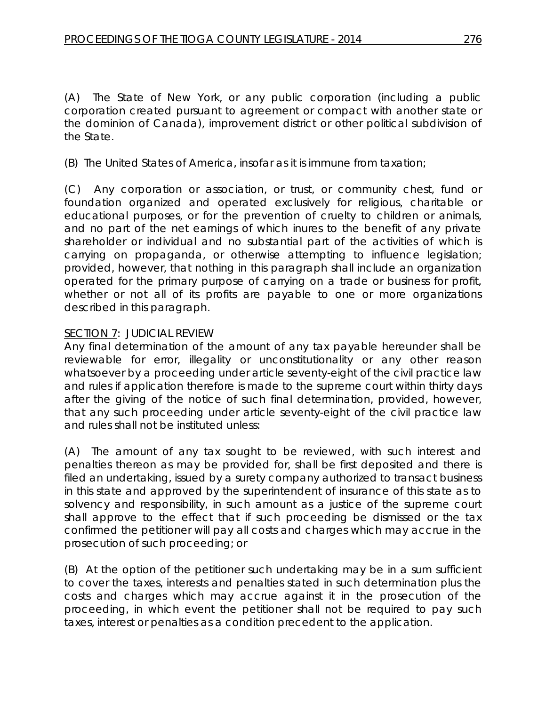(A) The State of New York, or any public corporation (including a public corporation created pursuant to agreement or compact with another state or the dominion of Canada), improvement district or other political subdivision of the State.

(B) The United States of America, insofar as it is immune from taxation;

(C) Any corporation or association, or trust, or community chest, fund or foundation organized and operated exclusively for religious, charitable or educational purposes, or for the prevention of cruelty to children or animals, and no part of the net earnings of which inures to the benefit of any private shareholder or individual and no substantial part of the activities of which is carrying on propaganda, or otherwise attempting to influence legislation; provided, however, that nothing in this paragraph shall include an organization operated for the primary purpose of carrying on a trade or business for profit, whether or not all of its profits are payable to one or more organizations described in this paragraph.

## SECTION 7: JUDICIAL REVIEW

Any final determination of the amount of any tax payable hereunder shall be reviewable for error, illegality or unconstitutionality or any other reason whatsoever by a proceeding under article seventy-eight of the civil practice law and rules if application therefore is made to the supreme court within thirty days after the giving of the notice of such final determination, provided, however, that any such proceeding under article seventy-eight of the civil practice law and rules shall not be instituted unless:

(A) The amount of any tax sought to be reviewed, with such interest and penalties thereon as may be provided for, shall be first deposited and there is filed an undertaking, issued by a surety company authorized to transact business in this state and approved by the superintendent of insurance of this state as to solvency and responsibility, in such amount as a justice of the supreme court shall approve to the effect that if such proceeding be dismissed or the tax confirmed the petitioner will pay all costs and charges which may accrue in the prosecution of such proceeding; or

(B) At the option of the petitioner such undertaking may be in a sum sufficient to cover the taxes, interests and penalties stated in such determination plus the costs and charges which may accrue against it in the prosecution of the proceeding, in which event the petitioner shall not be required to pay such taxes, interest or penalties as a condition precedent to the application.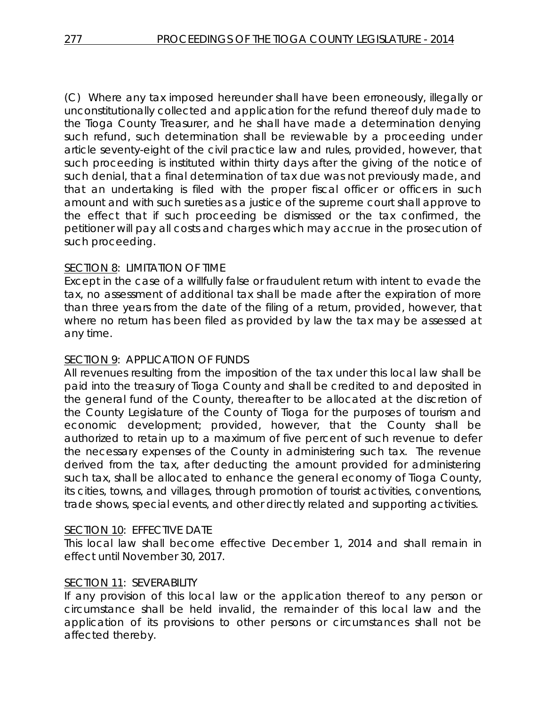(C) Where any tax imposed hereunder shall have been erroneously, illegally or unconstitutionally collected and application for the refund thereof duly made to the Tioga County Treasurer, and he shall have made a determination denying such refund, such determination shall be reviewable by a proceeding under article seventy-eight of the civil practice law and rules, provided, however, that such proceeding is instituted within thirty days after the giving of the notice of such denial, that a final determination of tax due was not previously made, and that an undertaking is filed with the proper fiscal officer or officers in such amount and with such sureties as a justice of the supreme court shall approve to the effect that if such proceeding be dismissed or the tax confirmed, the petitioner will pay all costs and charges which may accrue in the prosecution of such proceeding.

## SECTION 8: LIMITATION OF TIME

Except in the case of a willfully false or fraudulent return with intent to evade the tax, no assessment of additional tax shall be made after the expiration of more than three years from the date of the filing of a return, provided, however, that where no return has been filed as provided by law the tax may be assessed at any time.

### SECTION 9: APPLICATION OF FUNDS

All revenues resulting from the imposition of the tax under this local law shall be paid into the treasury of Tioga County and shall be credited to and deposited in the general fund of the County, thereafter to be allocated at the discretion of the County Legislature of the County of Tioga for the purposes of tourism and economic development; provided, however, that the County shall be authorized to retain up to a maximum of five percent of such revenue to defer the necessary expenses of the County in administering such tax. The revenue derived from the tax, after deducting the amount provided for administering such tax, shall be allocated to enhance the general economy of Tioga County, its cities, towns, and villages, through promotion of tourist activities, conventions, trade shows, special events, and other directly related and supporting activities.

### SECTION 10: EFFECTIVE DATE

This local law shall become effective December 1, 2014 and shall remain in effect until November 30, 2017.

### SECTION 11: SEVERABILITY

If any provision of this local law or the application thereof to any person or circumstance shall be held invalid, the remainder of this local law and the application of its provisions to other persons or circumstances shall not be affected thereby.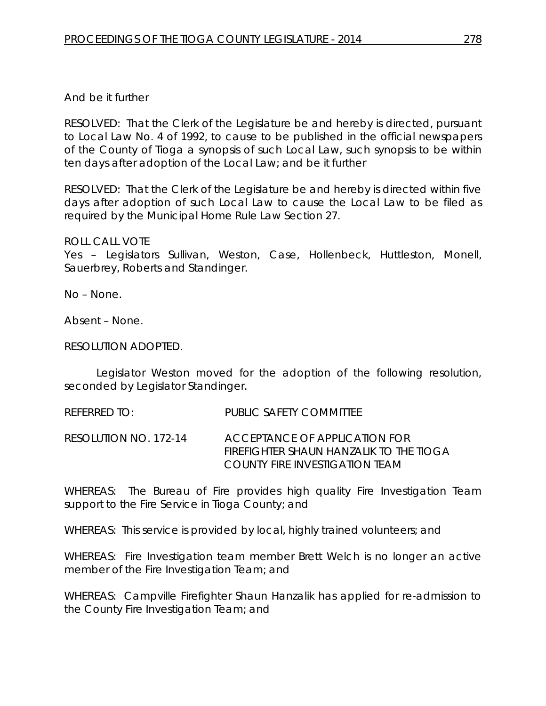## And be it further

RESOLVED: That the Clerk of the Legislature be and hereby is directed, pursuant to Local Law No. 4 of 1992, to cause to be published in the official newspapers of the County of Tioga a synopsis of such Local Law, such synopsis to be within ten days after adoption of the Local Law; and be it further

RESOLVED: That the Clerk of the Legislature be and hereby is directed within five days after adoption of such Local Law to cause the Local Law to be filed as required by the Municipal Home Rule Law Section 27.

### ROLL CALL VOTE

Yes – Legislators Sullivan, Weston, Case, Hollenbeck, Huttleston, Monell, Sauerbrey, Roberts and Standinger.

No – None.

Absent – None.

## RESOLUTION ADOPTED.

Legislator Weston moved for the adoption of the following resolution, seconded by Legislator Standinger.

REFERRED TO: PUBLIC SAFETY COMMITTEE

RESOLUTION NO. 172-14 *ACCEPTANCE OF APPLICATION FOR FIREFIGHTER SHAUN HANZALIK TO THE TIOGA COUNTY FIRE INVESTIGATION TEAM*

WHEREAS: The Bureau of Fire provides high quality Fire Investigation Team support to the Fire Service in Tioga County; and

WHEREAS: This service is provided by local, highly trained volunteers; and

WHEREAS: Fire Investigation team member Brett Welch is no longer an active member of the Fire Investigation Team; and

WHEREAS: Campville Firefighter Shaun Hanzalik has applied for re-admission to the County Fire Investigation Team; and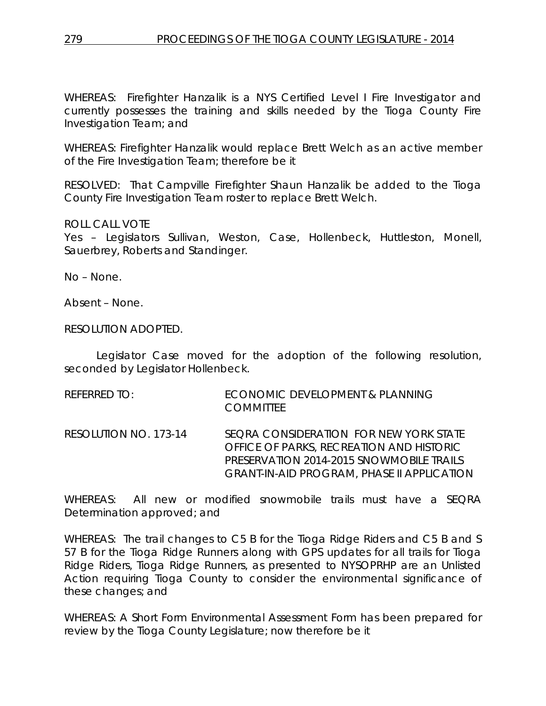WHEREAS: Firefighter Hanzalik is a NYS Certified Level I Fire Investigator and currently possesses the training and skills needed by the Tioga County Fire Investigation Team; and

WHEREAS: Firefighter Hanzalik would replace Brett Welch as an active member of the Fire Investigation Team; therefore be it

RESOLVED: That Campville Firefighter Shaun Hanzalik be added to the Tioga County Fire Investigation Team roster to replace Brett Welch.

ROLL CALL VOTE

Yes – Legislators Sullivan, Weston, Case, Hollenbeck, Huttleston, Monell, Sauerbrey, Roberts and Standinger.

No – None.

Absent – None.

RESOLUTION ADOPTED.

Legislator Case moved for the adoption of the following resolution, seconded by Legislator Hollenbeck.

| REFERRED TO:          | ECONOMIC DEVELOPMENT & PLANNING<br><b>COMMITTEE</b>                                                                                                                                 |
|-----------------------|-------------------------------------------------------------------------------------------------------------------------------------------------------------------------------------|
| RESOLUTION NO. 173-14 | SEQRA CONSIDERATION FOR NEW YORK STATE<br>OFFICE OF PARKS, RECREATION AND HISTORIC<br>PRESERVATION 2014-2015 SNOWMOBILE TRAILS<br><b>GRANT-IN-AID PROGRAM, PHASE II APPLICATION</b> |

WHEREAS: All new or modified snowmobile trails must have a SEQRA Determination approved; and

WHEREAS: The trail changes to C5 B for the Tioga Ridge Riders and C5 B and S 57 B for the Tioga Ridge Runners along with GPS updates for all trails for Tioga Ridge Riders, Tioga Ridge Runners, as presented to NYSOPRHP are an Unlisted Action requiring Tioga County to consider the environmental significance of these changes; and

WHEREAS: A Short Form Environmental Assessment Form has been prepared for review by the Tioga County Legislature; now therefore be it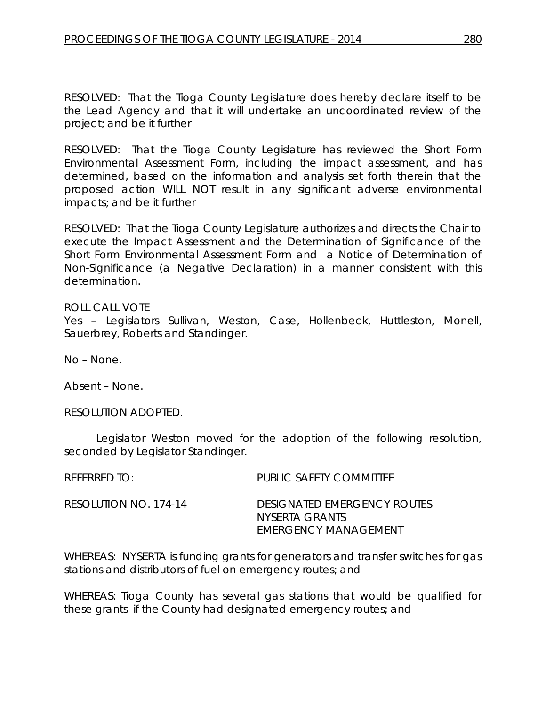RESOLVED: That the Tioga County Legislature does hereby declare itself to be the Lead Agency and that it will undertake an uncoordinated review of the project; and be it further

RESOLVED: That the Tioga County Legislature has reviewed the Short Form Environmental Assessment Form, including the impact assessment, and has determined, based on the information and analysis set forth therein that the proposed action WILL NOT result in any significant adverse environmental impacts; and be it further

RESOLVED: That the Tioga County Legislature authorizes and directs the Chair to execute the Impact Assessment and the Determination of Significance of the Short Form Environmental Assessment Form and a Notice of Determination of Non-Significance (a Negative Declaration) in a manner consistent with this determination.

### ROLL CALL VOTE

Yes – Legislators Sullivan, Weston, Case, Hollenbeck, Huttleston, Monell, Sauerbrey, Roberts and Standinger.

No – None.

Absent – None.

RESOLUTION ADOPTED.

Legislator Weston moved for the adoption of the following resolution, seconded by Legislator Standinger.

REFERRED TO: PUBLIC SAFETY COMMITTEE RESOLUTION NO. 174-14 *DESIGNATED EMERGENCY ROUTES NYSERTA GRANTS EMERGENCY MANAGEMENT*

WHEREAS: NYSERTA is funding grants for generators and transfer switches for gas stations and distributors of fuel on emergency routes; and

WHEREAS: Tioga County has several gas stations that would be qualified for these grants if the County had designated emergency routes; and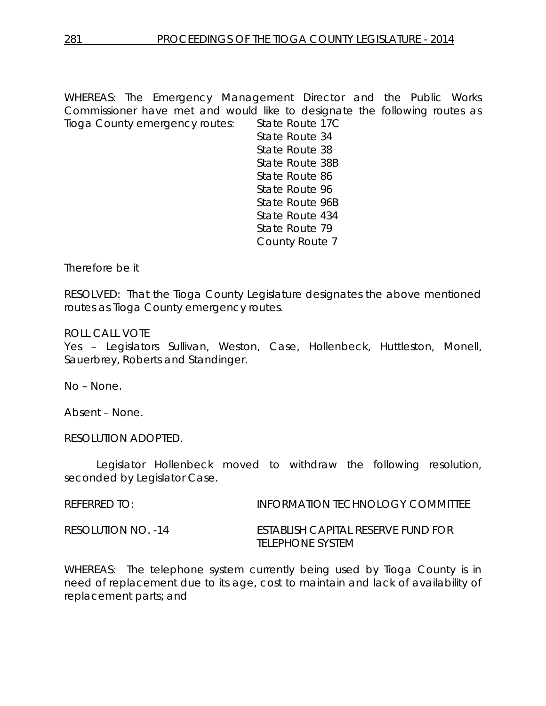WHEREAS: The Emergency Management Director and the Public Works Commissioner have met and would like to designate the following routes as Tioga County emergency routes: State Route 17C

State Route 34 State Route 38 State Route 38B State Route 86 State Route 96 State Route 96B State Route 434 State Route 79 County Route 7

Therefore be it

RESOLVED: That the Tioga County Legislature designates the above mentioned routes as Tioga County emergency routes.

ROLL CALL VOTE

Yes – Legislators Sullivan, Weston, Case, Hollenbeck, Huttleston, Monell, Sauerbrey, Roberts and Standinger.

No – None.

Absent – None.

RESOLUTION ADOPTED.

Legislator Hollenbeck moved to withdraw the following resolution, seconded by Legislator Case.

REFERRED TO: INFORMATION TECHNOLOGY COMMITTEE

RESOLUTION NO. -14 ESTABLISH CAPITAL RESERVE FUND FOR TELEPHONE SYSTEM

WHEREAS: The telephone system currently being used by Tioga County is in need of replacement due to its age, cost to maintain and lack of availability of replacement parts; and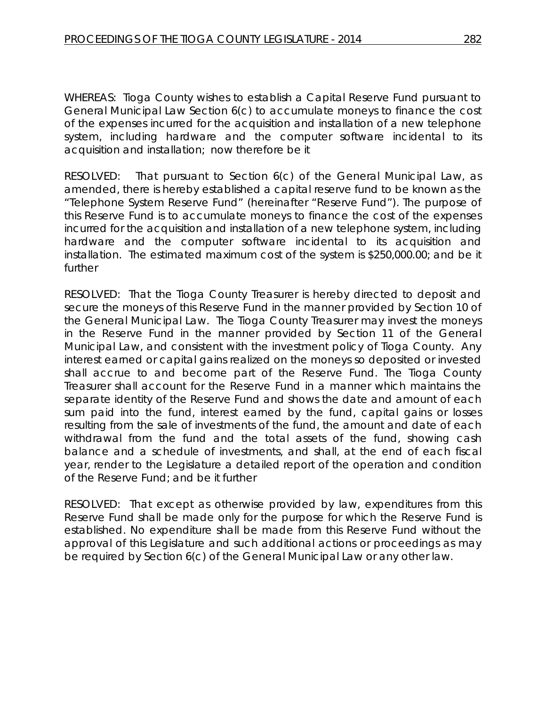WHEREAS: Tioga County wishes to establish a Capital Reserve Fund pursuant to General Municipal Law Section 6(c) to accumulate moneys to finance the cost of the expenses incurred for the acquisition and installation of a new telephone system, including hardware and the computer software incidental to its acquisition and installation; now therefore be it

RESOLVED: That pursuant to Section 6(c) of the General Municipal Law, as amended, there is hereby established a capital reserve fund to be known as the "Telephone System Reserve Fund" (hereinafter "Reserve Fund"). The purpose of this Reserve Fund is to accumulate moneys to finance the cost of the expenses incurred for the acquisition and installation of a new telephone system, including hardware and the computer software incidental to its acquisition and installation. The estimated maximum cost of the system is \$250,000.00; and be it further

RESOLVED: That the Tioga County Treasurer is hereby directed to deposit and secure the moneys of this Reserve Fund in the manner provided by Section 10 of the General Municipal Law. The Tioga County Treasurer may invest the moneys in the Reserve Fund in the manner provided by Section 11 of the General Municipal Law, and consistent with the investment policy of Tioga County. Any interest earned or capital gains realized on the moneys so deposited or invested shall accrue to and become part of the Reserve Fund. The Tioga County Treasurer shall account for the Reserve Fund in a manner which maintains the separate identity of the Reserve Fund and shows the date and amount of each sum paid into the fund, interest earned by the fund, capital gains or losses resulting from the sale of investments of the fund, the amount and date of each withdrawal from the fund and the total assets of the fund, showing cash balance and a schedule of investments, and shall, at the end of each fiscal year, render to the Legislature a detailed report of the operation and condition of the Reserve Fund; and be it further

RESOLVED: That except as otherwise provided by law, expenditures from this Reserve Fund shall be made only for the purpose for which the Reserve Fund is established. No expenditure shall be made from this Reserve Fund without the approval of this Legislature and such additional actions or proceedings as may be required by Section 6(c) of the General Municipal Law or any other law.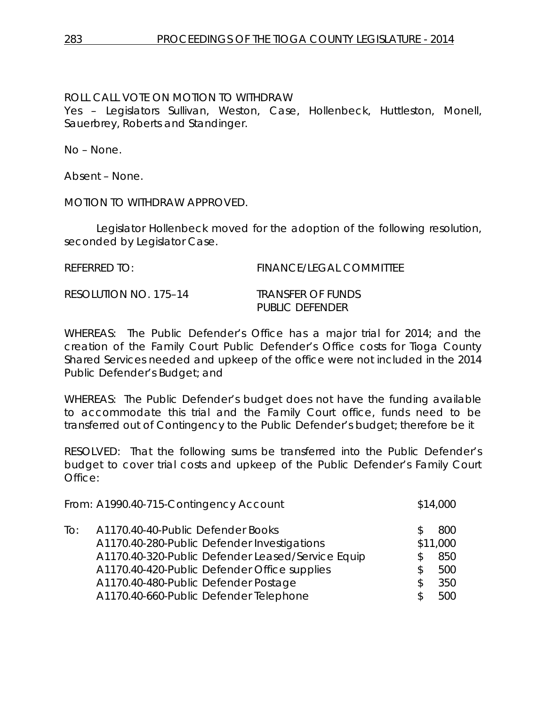## ROLL CALL VOTE ON MOTION TO WITHDRAW

Yes – Legislators Sullivan, Weston, Case, Hollenbeck, Huttleston, Monell, Sauerbrey, Roberts and Standinger.

No – None.

Absent – None.

MOTION TO WITHDRAW APPROVED.

Legislator Hollenbeck moved for the adoption of the following resolution, seconded by Legislator Case.

REFERRED TO: FINANCE/LEGAL COMMITTEE

RESOLUTION NO. 175–14 *TRANSFER OF FUNDS*

*PUBLIC DEFENDER*

WHEREAS: The Public Defender's Office has a major trial for 2014; and the creation of the Family Court Public Defender's Office costs for Tioga County Shared Services needed and upkeep of the office were not included in the 2014 Public Defender's Budget; and

WHEREAS: The Public Defender's budget does not have the funding available to accommodate this trial and the Family Court office, funds need to be transferred out of Contingency to the Public Defender's budget; therefore be it

RESOLVED: That the following sums be transferred into the Public Defender's budget to cover trial costs and upkeep of the Public Defender's Family Court Office:

|     | From: A1990.40-715-Contingency Account                                                                                                                                                                                        |                   | \$14,000                             |
|-----|-------------------------------------------------------------------------------------------------------------------------------------------------------------------------------------------------------------------------------|-------------------|--------------------------------------|
| To: | A1170.40-40-Public Defender Books<br>A1170.40-280-Public Defender Investigations<br>A1170.40-320-Public Defender Leased/Service Equip<br>A1170.40-420-Public Defender Office supplies<br>A1170.40-480-Public Defender Postage | \$.<br>\$.<br>\$. | 800<br>\$11,000<br>850<br>500<br>350 |
|     | A1170.40-660-Public Defender Telephone                                                                                                                                                                                        | ß.                | 500                                  |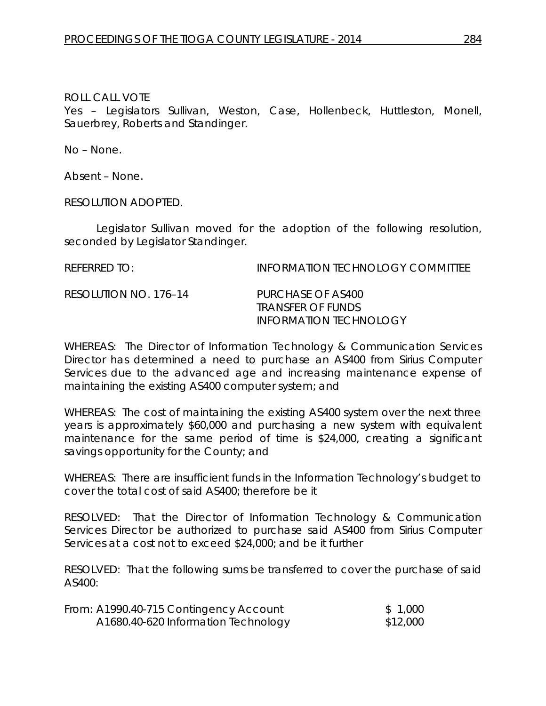Yes – Legislators Sullivan, Weston, Case, Hollenbeck, Huttleston, Monell, Sauerbrey, Roberts and Standinger.

No – None.

Absent – None.

RESOLUTION ADOPTED.

Legislator Sullivan moved for the adoption of the following resolution, seconded by Legislator Standinger.

REFERRED TO: INFORMATION TECHNOLOGY COMMITTEE RESOLUTION NO. 176–14 *PURCHASE OF AS400 TRANSFER OF FUNDS INFORMATION TECHNOLOGY*

WHEREAS: The Director of Information Technology & Communication Services Director has determined a need to purchase an AS400 from Sirius Computer Services due to the advanced age and increasing maintenance expense of maintaining the existing AS400 computer system; and

WHEREAS: The cost of maintaining the existing AS400 system over the next three years is approximately \$60,000 and purchasing a new system with equivalent maintenance for the same period of time is \$24,000, creating a significant savings opportunity for the County; and

WHEREAS: There are insufficient funds in the Information Technology's budget to cover the total cost of said AS400; therefore be it

RESOLVED: That the Director of Information Technology & Communication Services Director be authorized to purchase said AS400 from Sirius Computer Services at a cost not to exceed \$24,000; and be it further

RESOLVED: That the following sums be transferred to cover the purchase of said AS400:

| From: A1990.40-715 Contingency Account | \$1,000  |
|----------------------------------------|----------|
| A1680.40-620 Information Technology    | \$12,000 |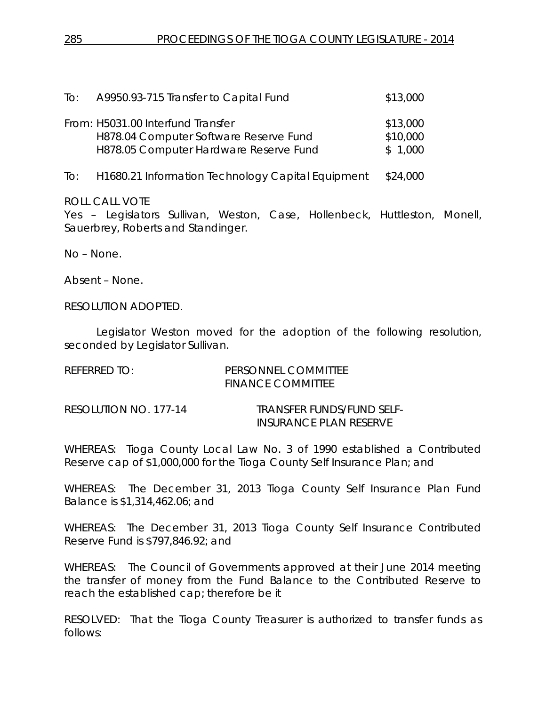| To: | A9950.93-715 Transfer to Capital Fund                                                                                 | \$13,000                        |
|-----|-----------------------------------------------------------------------------------------------------------------------|---------------------------------|
|     | From: H5031.00 Interfund Transfer<br>H878.04 Computer Software Reserve Fund<br>H878.05 Computer Hardware Reserve Fund | \$13,000<br>\$10,000<br>\$1,000 |
| To: | H1680.21 Information Technology Capital Equipment                                                                     | \$24,000                        |

Yes – Legislators Sullivan, Weston, Case, Hollenbeck, Huttleston, Monell, Sauerbrey, Roberts and Standinger.

No – None.

Absent – None.

RESOLUTION ADOPTED.

Legislator Weston moved for the adoption of the following resolution, seconded by Legislator Sullivan.

| REFERRED TO:          | PERSONNEL COMMITTEE<br><b>FINANCE COMMITTEE</b>     |
|-----------------------|-----------------------------------------------------|
| RESOLUTION NO. 177-14 | TRANSFER FUNDS/FUND SELF-<br>INSURANCE PLAN RESERVE |

WHEREAS: Tioga County Local Law No. 3 of 1990 established a Contributed Reserve cap of \$1,000,000 for the Tioga County Self Insurance Plan; and

WHEREAS: The December 31, 2013 Tioga County Self Insurance Plan Fund Balance is \$1,314,462.06; and

WHEREAS: The December 31, 2013 Tioga County Self Insurance Contributed Reserve Fund is \$797,846.92; and

WHEREAS: The Council of Governments approved at their June 2014 meeting the transfer of money from the Fund Balance to the Contributed Reserve to reach the established cap; therefore be it

RESOLVED: That the Tioga County Treasurer is authorized to transfer funds as follows: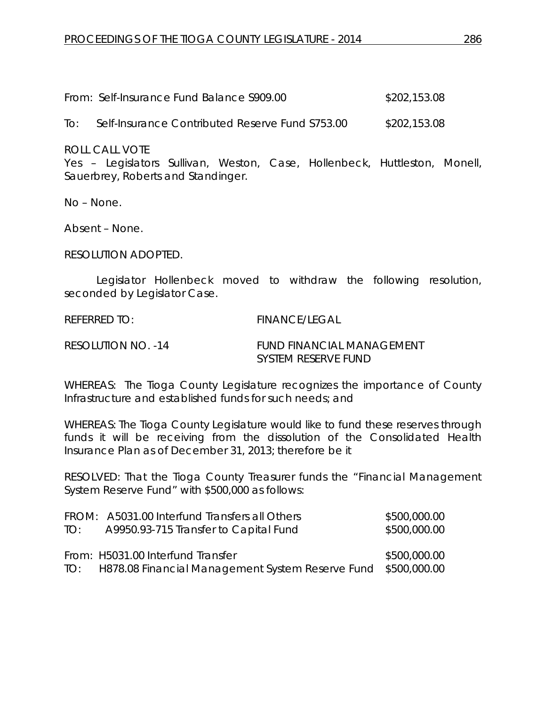| From: Self-Insurance Fund Balance S909.00 | \$202,153.08 |
|-------------------------------------------|--------------|
|                                           |              |

To: Self-Insurance Contributed Reserve Fund S753.00 \$202,153.08

ROLL CALL VOTE

Yes – Legislators Sullivan, Weston, Case, Hollenbeck, Huttleston, Monell, Sauerbrey, Roberts and Standinger.

No – None.

Absent – None.

RESOLUTION ADOPTED.

Legislator Hollenbeck moved to withdraw the following resolution, seconded by Legislator Case.

REFERRED TO: FINANCE/LEGAL

RESOLUTION NO. -14 FUND FINANCIAL MANAGEMENT SYSTEM RESERVE FUND

WHEREAS: The Tioga County Legislature recognizes the importance of County Infrastructure and established funds for such needs; and

WHEREAS: The Tioga County Legislature would like to fund these reserves through funds it will be receiving from the dissolution of the Consolidated Health Insurance Plan as of December 31, 2013; therefore be it

RESOLVED: That the Tioga County Treasurer funds the "Financial Management System Reserve Fund" with \$500,000 as follows:

|     | FROM: A5031.00 Interfund Transfers all Others                     | \$500,000.00 |
|-----|-------------------------------------------------------------------|--------------|
| TO: | A9950.93-715 Transfer to Capital Fund                             | \$500,000.00 |
|     |                                                                   |              |
|     | From: H5031.00 Interfund Transfer                                 | \$500,000.00 |
|     | TO: H878.08 Financial Management System Reserve Fund \$500,000.00 |              |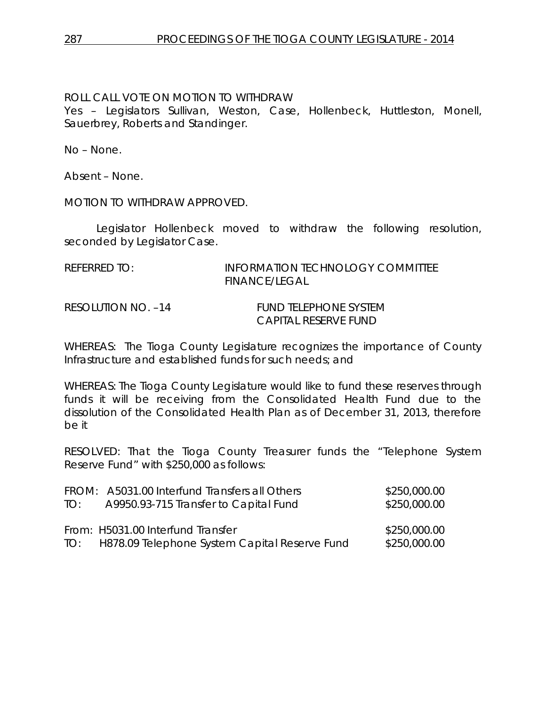## ROLL CALL VOTE ON MOTION TO WITHDRAW

Yes – Legislators Sullivan, Weston, Case, Hollenbeck, Huttleston, Monell, Sauerbrey, Roberts and Standinger.

No – None.

Absent – None.

MOTION TO WITHDRAW APPROVED.

Legislator Hollenbeck moved to withdraw the following resolution, seconded by Legislator Case.

| RFFFRRFD TO:       | INFORMATION TECHNOLOGY COMMITTEE<br>FINANCE/LEGAL |
|--------------------|---------------------------------------------------|
| RESOLUTION NO. –14 | FUND TELEPHONE SYSTEM<br>CAPITAL RESERVE FUND     |

WHEREAS: The Tioga County Legislature recognizes the importance of County Infrastructure and established funds for such needs; and

WHEREAS: The Tioga County Legislature would like to fund these reserves through funds it will be receiving from the Consolidated Health Fund due to the dissolution of the Consolidated Health Plan as of December 31, 2013, therefore be it

RESOLVED: That the Tioga County Treasurer funds the "Telephone System Reserve Fund" with \$250,000 as follows:

| TO: | FROM: A5031.00 Interfund Transfers all Others<br>A9950.93-715 Transfer to Capital Fund | \$250,000.00<br>\$250,000.00 |
|-----|----------------------------------------------------------------------------------------|------------------------------|
|     | From: H5031.00 Interfund Transfer<br>TO: H878.09 Telephone System Capital Reserve Fund | \$250,000.00<br>\$250,000.00 |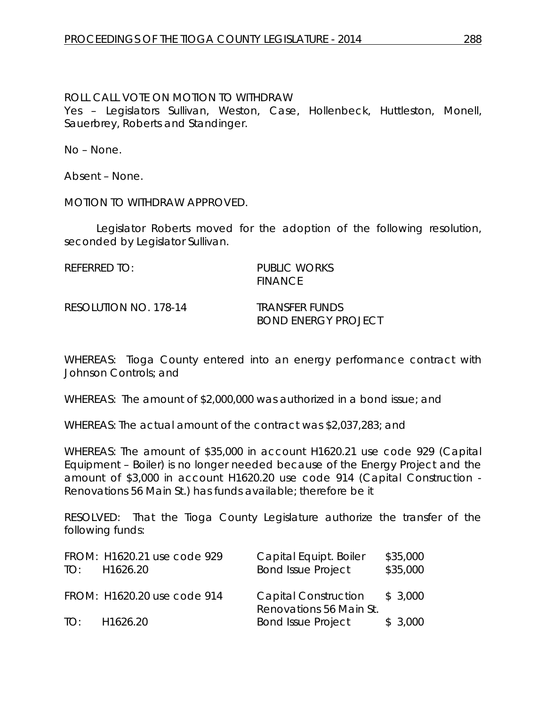### ROLL CALL VOTE ON MOTION TO WITHDRAW

Yes – Legislators Sullivan, Weston, Case, Hollenbeck, Huttleston, Monell, Sauerbrey, Roberts and Standinger.

No – None.

Absent – None.

MOTION TO WITHDRAW APPROVED.

Legislator Roberts moved for the adoption of the following resolution, seconded by Legislator Sullivan.

REFERRED TO: PUBLIC WORKS FINANCE

RESOLUTION NO. 178-14 *TRANSFER FUNDS*

*BOND ENERGY PROJECT*

WHEREAS: Tioga County entered into an energy performance contract with Johnson Controls; and

WHEREAS: The amount of \$2,000,000 was authorized in a bond issue; and

WHEREAS: The actual amount of the contract was \$2,037,283; and

WHEREAS: The amount of \$35,000 in account H1620.21 use code 929 (Capital Equipment – Boiler) is no longer needed because of the Energy Project and the amount of \$3,000 in account H1620.20 use code 914 (Capital Construction - Renovations 56 Main St.) has funds available; therefore be it

RESOLVED: That the Tioga County Legislature authorize the transfer of the following funds:

| TO: | FROM: H1620.21 use code 929<br>H1626.20 | Capital Equipt. Boiler<br><b>Bond Issue Project</b>    | \$35,000<br>\$35,000 |
|-----|-----------------------------------------|--------------------------------------------------------|----------------------|
|     | FROM: H1620.20 use code 914             | <b>Capital Construction</b><br>Renovations 56 Main St. | \$3,000              |
| TO: | H <sub>1626.20</sub>                    | <b>Bond Issue Project</b>                              | \$3,000              |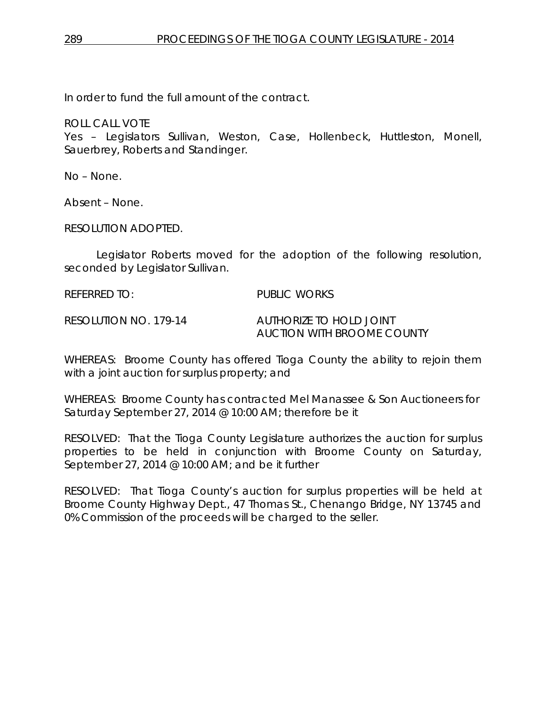In order to fund the full amount of the contract.

ROLL CALL VOTE

Yes – Legislators Sullivan, Weston, Case, Hollenbeck, Huttleston, Monell, Sauerbrey, Roberts and Standinger.

No – None.

Absent – None.

RESOLUTION ADOPTED.

Legislator Roberts moved for the adoption of the following resolution, seconded by Legislator Sullivan.

REFERRED TO: PUBLIC WORKS

RESOLUTION NO. 179-14 *AUTHORIZE TO HOLD JOINT* 

*AUCTION WITH BROOME COUNTY*

WHEREAS: Broome County has offered Tioga County the ability to rejoin them with a joint auction for surplus property; and

WHEREAS: Broome County has contracted Mel Manassee & Son Auctioneers for Saturday September 27, 2014 @ 10:00 AM; therefore be it

RESOLVED: That the Tioga County Legislature authorizes the auction for surplus properties to be held in conjunction with Broome County on Saturday, September 27, 2014 @ 10:00 AM; and be it further

RESOLVED: That Tioga County's auction for surplus properties will be held at Broome County Highway Dept., 47 Thomas St., Chenango Bridge, NY 13745 and 0% Commission of the proceeds will be charged to the seller.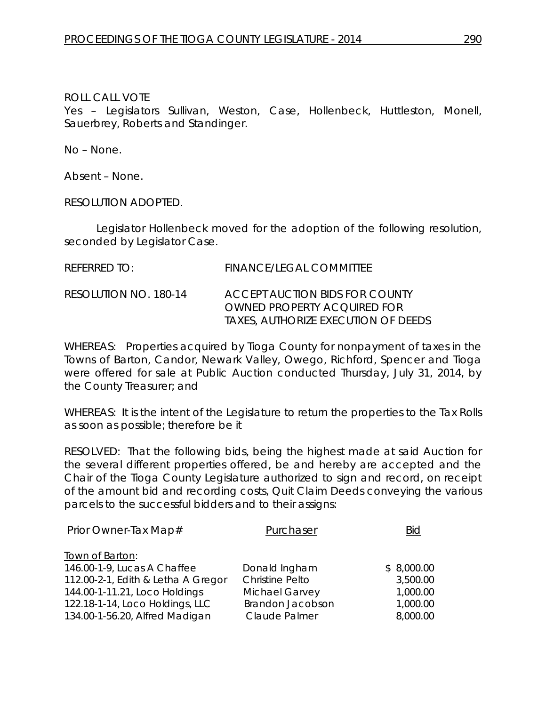Yes – Legislators Sullivan, Weston, Case, Hollenbeck, Huttleston, Monell, Sauerbrey, Roberts and Standinger.

No – None.

Absent – None.

RESOLUTION ADOPTED.

Legislator Hollenbeck moved for the adoption of the following resolution, seconded by Legislator Case.

| REFERRED TO:          | FINANCE/LEGAL COMMITTEE                                                                                     |
|-----------------------|-------------------------------------------------------------------------------------------------------------|
| RESOLUTION NO. 180-14 | ACCEPT AUCTION BIDS FOR COUNTY<br>OWNED PROPERTY ACOUIRED FOR<br><i>TAXES, AUTHORIZE EXECUTION OF DEEDS</i> |

WHEREAS: Properties acquired by Tioga County for nonpayment of taxes in the Towns of Barton, Candor, Newark Valley, Owego, Richford, Spencer and Tioga were offered for sale at Public Auction conducted Thursday, July 31, 2014, by the County Treasurer; and

WHEREAS: It is the intent of the Legislature to return the properties to the Tax Rolls as soon as possible; therefore be it

RESOLVED: That the following bids, being the highest made at said Auction for the several different properties offered, be and hereby are accepted and the Chair of the Tioga County Legislature authorized to sign and record, on receipt of the amount bid and recording costs, Quit Claim Deeds conveying the various parcels to the successful bidders and to their assigns:

| Purchaser              | Bid        |
|------------------------|------------|
|                        |            |
| Donald Ingham          | \$8,000.00 |
| <b>Christine Pelto</b> | 3,500.00   |
| Michael Garvey         | 1,000.00   |
| Brandon Jacobson       | 1,000.00   |
| Claude Palmer          | 8,000.00   |
|                        |            |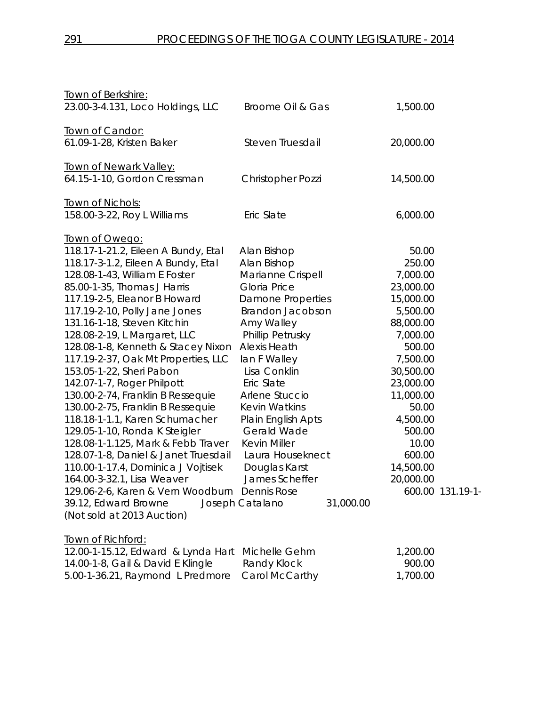| Town of Berkshire:                            |                              |           |                  |
|-----------------------------------------------|------------------------------|-----------|------------------|
| 23.00-3-4.131, Loco Holdings, LLC             | Broome Oil & Gas             | 1,500.00  |                  |
| Town of Candor:                               |                              |           |                  |
| 61.09-1-28, Kristen Baker                     | Steven Truesdail             | 20,000.00 |                  |
| <b>Town of Newark Valley:</b>                 |                              |           |                  |
| 64.15-1-10, Gordon Cressman                   | <b>Christopher Pozzi</b>     | 14,500.00 |                  |
| Town of Nichols:                              |                              |           |                  |
| 158.00-3-22, Roy L Williams                   | Eric Slate                   | 6,000.00  |                  |
| Town of Owego:                                |                              |           |                  |
| 118.17-1-21.2, Eileen A Bundy, Etal           | Alan Bishop                  | 50.00     |                  |
| 118.17-3-1.2, Eileen A Bundy, Etal            | Alan Bishop                  | 250.00    |                  |
| 128.08-1-43, William E Foster                 | Marianne Crispell            | 7,000.00  |                  |
| 85.00-1-35, Thomas J Harris                   | Gloria Price                 | 23,000.00 |                  |
| 117.19-2-5, Eleanor B Howard                  | <b>Damone Properties</b>     | 15,000.00 |                  |
| 117.19-2-10, Polly Jane Jones                 | <b>Brandon Jacobson</b>      | 5,500.00  |                  |
| 131.16-1-18, Steven Kitchin                   | Amy Walley                   | 88,000.00 |                  |
| 128.08-2-19, L Margaret, LLC                  | Phillip Petrusky             | 7,000.00  |                  |
| 128.08-1-8, Kenneth & Stacey Nixon            | <b>Alexis Heath</b>          | 500.00    |                  |
| 117.19-2-37, Oak Mt Properties, LLC           | lan F Walley                 | 7,500.00  |                  |
| 153.05-1-22, Sheri Pabon                      | Lisa Conklin                 | 30,500.00 |                  |
| 142.07-1-7, Roger Philpott                    | Eric Slate                   | 23,000.00 |                  |
| 130.00-2-74, Franklin B Ressequie             | Arlene Stuccio               | 11,000.00 |                  |
| 130.00-2-75, Franklin B Ressequie             | <b>Kevin Watkins</b>         | 50.00     |                  |
| 118.18-1-1.1, Karen Schumacher                | Plain English Apts           | 4,500.00  |                  |
| 129.05-1-10, Ronda K Steigler                 | Gerald Wade                  | 500.00    |                  |
| 128.08-1-1.125, Mark & Febb Traver            | <b>Kevin Miller</b>          | 10.00     |                  |
| 128.07-1-8, Daniel & Janet Truesdail          | Laura Houseknect             | 600.00    |                  |
| 110.00-1-17.4, Dominica J Vojtisek            | Douglas Karst                | 14,500.00 |                  |
| 164.00-3-32.1, Lisa Weaver                    | James Scheffer               | 20,000.00 |                  |
| 129.06-2-6, Karen & Vern Woodburn Dennis Rose |                              |           | 600.00 131.19-1- |
| 39.12, Edward Browne                          | Joseph Catalano<br>31,000.00 |           |                  |
| (Not sold at 2013 Auction)                    |                              |           |                  |
| Town of Richford:                             |                              |           |                  |
| 12.00-1-15.12, Edward & Lynda Hart            | Michelle Gehm                | 1,200.00  |                  |
| 14.00-1-8, Gail & David E Klingle             | Randy Klock                  | 900.00    |                  |
| 5.00-1-36.21, Raymond L Predmore              | Carol McCarthy               | 1,700.00  |                  |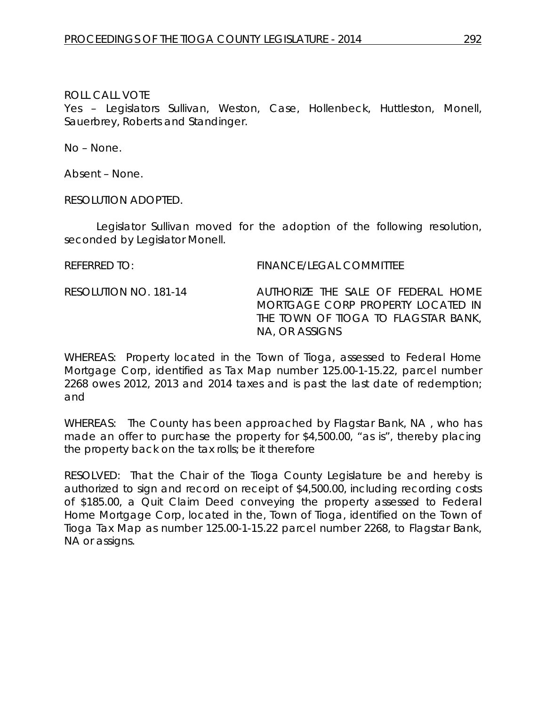Yes – Legislators Sullivan, Weston, Case, Hollenbeck, Huttleston, Monell, Sauerbrey, Roberts and Standinger.

No – None.

Absent – None.

RESOLUTION ADOPTED.

Legislator Sullivan moved for the adoption of the following resolution, seconded by Legislator Monell.

REFERRED TO: FINANCE/LEGAL COMMITTEE

RESOLUTION NO. 181-14 *AUTHORIZE THE SALE OF FEDERAL HOME MORTGAGE CORP PROPERTY LOCATED IN THE TOWN OF TIOGA TO FLAGSTAR BANK, NA, OR ASSIGNS* 

WHEREAS: Property located in the Town of Tioga, assessed to Federal Home Mortgage Corp, identified as Tax Map number 125.00-1-15.22, parcel number 2268 owes 2012, 2013 and 2014 taxes and is past the last date of redemption; and

WHEREAS: The County has been approached by Flagstar Bank, NA , who has made an offer to purchase the property for \$4,500.00, "as is", thereby placing the property back on the tax rolls; be it therefore

RESOLVED: That the Chair of the Tioga County Legislature be and hereby is authorized to sign and record on receipt of \$4,500.00, including recording costs of \$185.00, a Quit Claim Deed conveying the property assessed to Federal Home Mortgage Corp, located in the, Town of Tioga, identified on the Town of Tioga Tax Map as number 125.00-1-15.22 parcel number 2268, to Flagstar Bank, NA or assigns.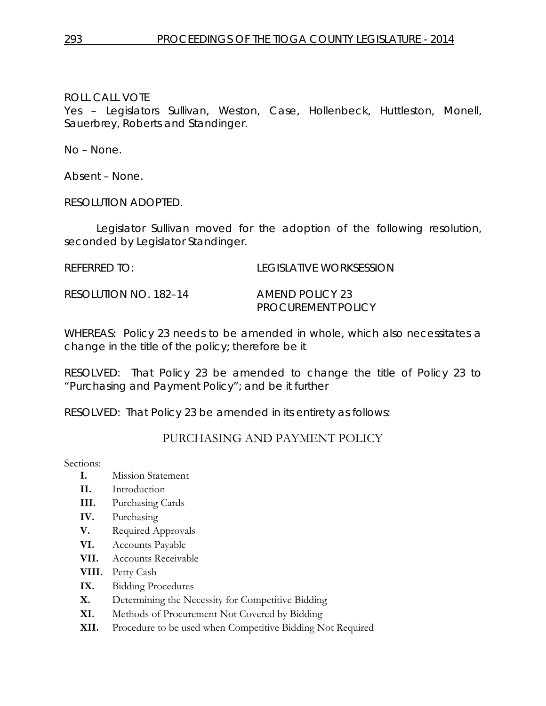Yes – Legislators Sullivan, Weston, Case, Hollenbeck, Huttleston, Monell, Sauerbrey, Roberts and Standinger.

No – None.

Absent – None.

RESOLUTION ADOPTED.

Legislator Sullivan moved for the adoption of the following resolution, seconded by Legislator Standinger.

REFERRED TO: LEGISLATIVE WORKSESSION

RESOLUTION NO. 182–14 *AMEND POLICY 23*

*PROCUREMENT POLICY*

WHEREAS: Policy 23 needs to be amended in whole, which also necessitates a change in the title of the policy; therefore be it

RESOLVED: That Policy 23 be amended to change the title of Policy 23 to "Purchasing and Payment Policy"; and be it further

RESOLVED: That Policy 23 be amended in its entirety as follows:

## PURCHASING AND PAYMENT POLICY

Sections:

- **I.** Mission Statement
- **II.** Introduction
- **III.** Purchasing Cards
- **IV.** Purchasing
- **V.** Required Approvals
- **VI.** Accounts Payable
- **VII.** Accounts Receivable
- **VIII.** Petty Cash
- **IX.** Bidding Procedures
- **X.** Determining the Necessity for Competitive Bidding
- **XI.** Methods of Procurement Not Covered by Bidding
- **XII.** Procedure to be used when Competitive Bidding Not Required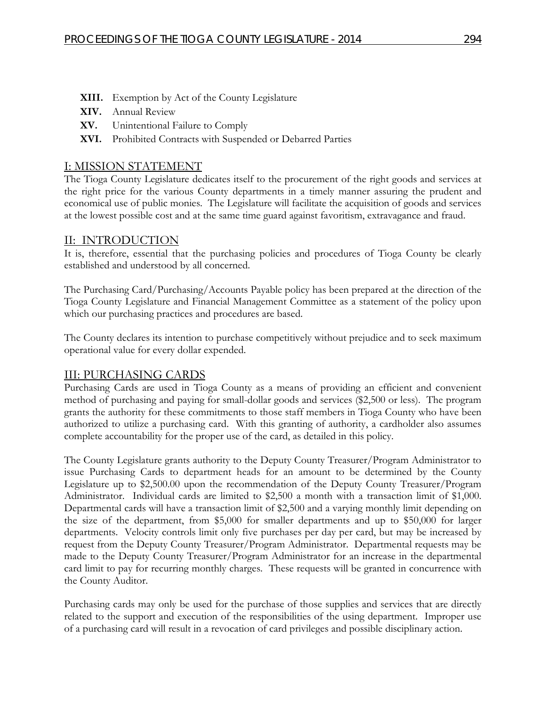- **XIII.** Exemption by Act of the County Legislature
- **XIV.** Annual Review
- **XV.** Unintentional Failure to Comply
- **XVI.** Prohibited Contracts with Suspended or Debarred Parties

## I: MISSION STATEMENT

The Tioga County Legislature dedicates itself to the procurement of the right goods and services at the right price for the various County departments in a timely manner assuring the prudent and economical use of public monies. The Legislature will facilitate the acquisition of goods and services at the lowest possible cost and at the same time guard against favoritism, extravagance and fraud.

## II: INTRODUCTION

It is, therefore, essential that the purchasing policies and procedures of Tioga County be clearly established and understood by all concerned.

The Purchasing Card/Purchasing/Accounts Payable policy has been prepared at the direction of the Tioga County Legislature and Financial Management Committee as a statement of the policy upon which our purchasing practices and procedures are based.

The County declares its intention to purchase competitively without prejudice and to seek maximum operational value for every dollar expended.

## III: PURCHASING CARDS

Purchasing Cards are used in Tioga County as a means of providing an efficient and convenient method of purchasing and paying for small-dollar goods and services (\$2,500 or less). The program grants the authority for these commitments to those staff members in Tioga County who have been authorized to utilize a purchasing card. With this granting of authority, a cardholder also assumes complete accountability for the proper use of the card, as detailed in this policy.

The County Legislature grants authority to the Deputy County Treasurer/Program Administrator to issue Purchasing Cards to department heads for an amount to be determined by the County Legislature up to \$2,500.00 upon the recommendation of the Deputy County Treasurer/Program Administrator. Individual cards are limited to \$2,500 a month with a transaction limit of \$1,000. Departmental cards will have a transaction limit of \$2,500 and a varying monthly limit depending on the size of the department, from \$5,000 for smaller departments and up to \$50,000 for larger departments. Velocity controls limit only five purchases per day per card, but may be increased by request from the Deputy County Treasurer/Program Administrator. Departmental requests may be made to the Deputy County Treasurer/Program Administrator for an increase in the departmental card limit to pay for recurring monthly charges. These requests will be granted in concurrence with the County Auditor.

Purchasing cards may only be used for the purchase of those supplies and services that are directly related to the support and execution of the responsibilities of the using department. Improper use of a purchasing card will result in a revocation of card privileges and possible disciplinary action.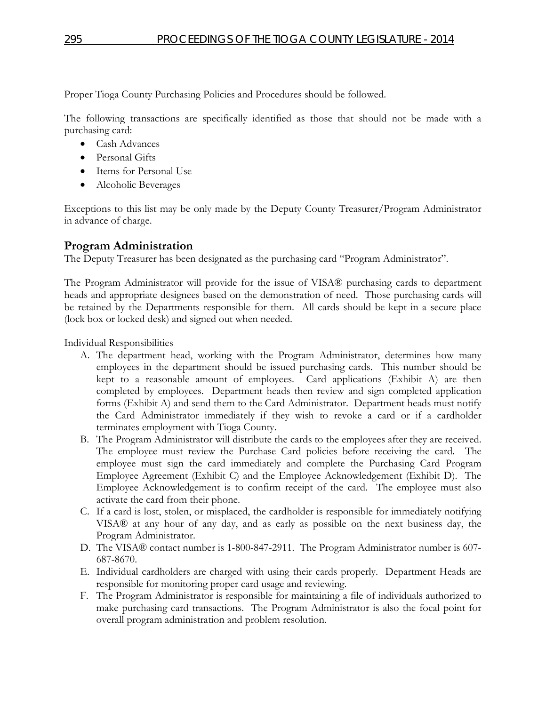Proper Tioga County Purchasing Policies and Procedures should be followed.

The following transactions are specifically identified as those that should not be made with a purchasing card:

- Cash Advances
- Personal Gifts
- Items for Personal Use
- Alcoholic Beverages

Exceptions to this list may be only made by the Deputy County Treasurer/Program Administrator in advance of charge.

## **Program Administration**

The Deputy Treasurer has been designated as the purchasing card "Program Administrator".

The Program Administrator will provide for the issue of VISA® purchasing cards to department heads and appropriate designees based on the demonstration of need. Those purchasing cards will be retained by the Departments responsible for them. All cards should be kept in a secure place (lock box or locked desk) and signed out when needed.

Individual Responsibilities

- A. The department head, working with the Program Administrator, determines how many employees in the department should be issued purchasing cards. This number should be kept to a reasonable amount of employees. Card applications (Exhibit A) are then completed by employees. Department heads then review and sign completed application forms (Exhibit A) and send them to the Card Administrator. Department heads must notify the Card Administrator immediately if they wish to revoke a card or if a cardholder terminates employment with Tioga County.
- B. The Program Administrator will distribute the cards to the employees after they are received. The employee must review the Purchase Card policies before receiving the card. The employee must sign the card immediately and complete the Purchasing Card Program Employee Agreement (Exhibit C) and the Employee Acknowledgement (Exhibit D). The Employee Acknowledgement is to confirm receipt of the card. The employee must also activate the card from their phone.
- C. If a card is lost, stolen, or misplaced, the cardholder is responsible for immediately notifying VISA® at any hour of any day, and as early as possible on the next business day, the Program Administrator.
- D. The VISA® contact number is 1-800-847-2911. The Program Administrator number is 607- 687-8670.
- E. Individual cardholders are charged with using their cards properly. Department Heads are responsible for monitoring proper card usage and reviewing.
- F. The Program Administrator is responsible for maintaining a file of individuals authorized to make purchasing card transactions. The Program Administrator is also the focal point for overall program administration and problem resolution.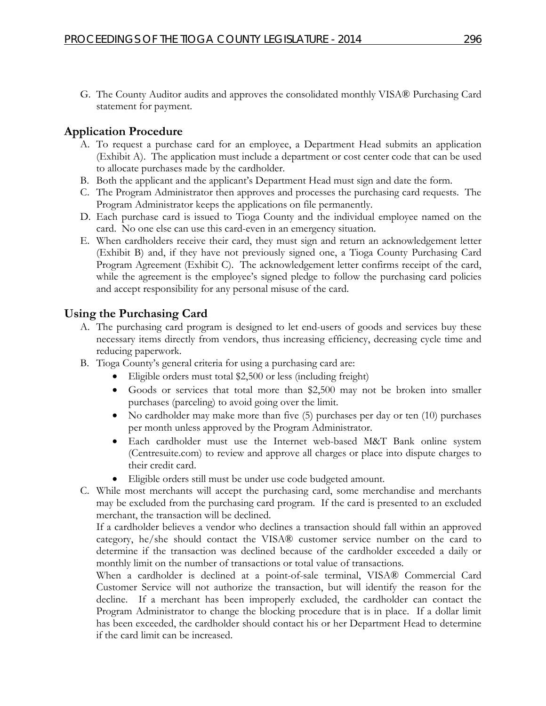G. The County Auditor audits and approves the consolidated monthly VISA® Purchasing Card statement for payment.

## **Application Procedure**

- A. To request a purchase card for an employee, a Department Head submits an application (Exhibit A). The application must include a department or cost center code that can be used to allocate purchases made by the cardholder.
- B. Both the applicant and the applicant's Department Head must sign and date the form.
- C. The Program Administrator then approves and processes the purchasing card requests. The Program Administrator keeps the applications on file permanently.
- D. Each purchase card is issued to Tioga County and the individual employee named on the card. No one else can use this card-even in an emergency situation.
- E. When cardholders receive their card, they must sign and return an acknowledgement letter (Exhibit B) and, if they have not previously signed one, a Tioga County Purchasing Card Program Agreement (Exhibit C). The acknowledgement letter confirms receipt of the card, while the agreement is the employee's signed pledge to follow the purchasing card policies and accept responsibility for any personal misuse of the card.

## **Using the Purchasing Card**

- A. The purchasing card program is designed to let end-users of goods and services buy these necessary items directly from vendors, thus increasing efficiency, decreasing cycle time and reducing paperwork.
- B. Tioga County's general criteria for using a purchasing card are:
	- Eligible orders must total \$2,500 or less (including freight)
	- Goods or services that total more than \$2,500 may not be broken into smaller purchases (parceling) to avoid going over the limit.
	- No cardholder may make more than five (5) purchases per day or ten (10) purchases per month unless approved by the Program Administrator.
	- Each cardholder must use the Internet web-based M&T Bank online system (Centresuite.com) to review and approve all charges or place into dispute charges to their credit card.
	- Eligible orders still must be under use code budgeted amount.
- C. While most merchants will accept the purchasing card, some merchandise and merchants may be excluded from the purchasing card program. If the card is presented to an excluded merchant, the transaction will be declined.

If a cardholder believes a vendor who declines a transaction should fall within an approved category, he/she should contact the VISA® customer service number on the card to determine if the transaction was declined because of the cardholder exceeded a daily or monthly limit on the number of transactions or total value of transactions.

When a cardholder is declined at a point-of-sale terminal, VISA® Commercial Card Customer Service will not authorize the transaction, but will identify the reason for the decline. If a merchant has been improperly excluded, the cardholder can contact the Program Administrator to change the blocking procedure that is in place. If a dollar limit has been exceeded, the cardholder should contact his or her Department Head to determine if the card limit can be increased.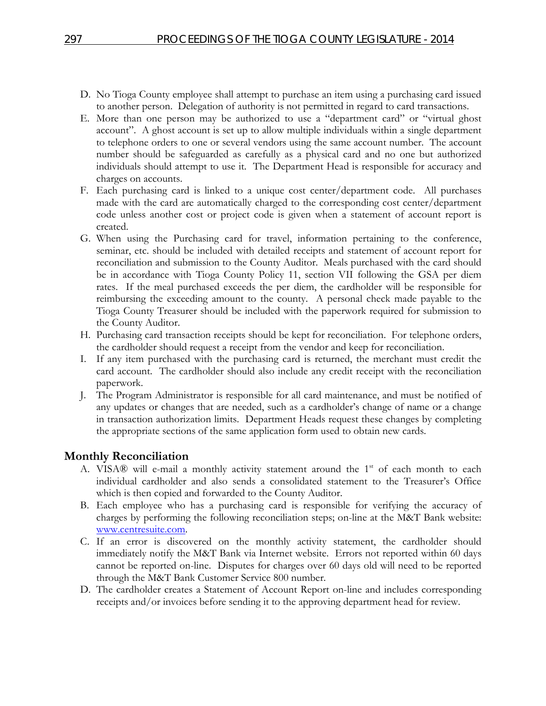- D. No Tioga County employee shall attempt to purchase an item using a purchasing card issued to another person. Delegation of authority is not permitted in regard to card transactions.
- E. More than one person may be authorized to use a "department card" or "virtual ghost account". A ghost account is set up to allow multiple individuals within a single department to telephone orders to one or several vendors using the same account number. The account number should be safeguarded as carefully as a physical card and no one but authorized individuals should attempt to use it. The Department Head is responsible for accuracy and charges on accounts.
- F. Each purchasing card is linked to a unique cost center/department code. All purchases made with the card are automatically charged to the corresponding cost center/department code unless another cost or project code is given when a statement of account report is created.
- G. When using the Purchasing card for travel, information pertaining to the conference, seminar, etc. should be included with detailed receipts and statement of account report for reconciliation and submission to the County Auditor. Meals purchased with the card should be in accordance with Tioga County Policy 11, section VII following the GSA per diem rates. If the meal purchased exceeds the per diem, the cardholder will be responsible for reimbursing the exceeding amount to the county. A personal check made payable to the Tioga County Treasurer should be included with the paperwork required for submission to the County Auditor.
- H. Purchasing card transaction receipts should be kept for reconciliation. For telephone orders, the cardholder should request a receipt from the vendor and keep for reconciliation.
- I. If any item purchased with the purchasing card is returned, the merchant must credit the card account. The cardholder should also include any credit receipt with the reconciliation paperwork.
- J. The Program Administrator is responsible for all card maintenance, and must be notified of any updates or changes that are needed, such as a cardholder's change of name or a change in transaction authorization limits. Department Heads request these changes by completing the appropriate sections of the same application form used to obtain new cards.

### **Monthly Reconciliation**

- A. VISA® will e-mail a monthly activity statement around the  $1<sup>st</sup>$  of each month to each individual cardholder and also sends a consolidated statement to the Treasurer's Office which is then copied and forwarded to the County Auditor.
- B. Each employee who has a purchasing card is responsible for verifying the accuracy of charges by performing the following reconciliation steps; on-line at the M&T Bank website: [www.centresuite.com.](http://www.centresuite.com/)
- C. If an error is discovered on the monthly activity statement, the cardholder should immediately notify the M&T Bank via Internet website. Errors not reported within 60 days cannot be reported on-line. Disputes for charges over 60 days old will need to be reported through the M&T Bank Customer Service 800 number.
- D. The cardholder creates a Statement of Account Report on-line and includes corresponding receipts and/or invoices before sending it to the approving department head for review.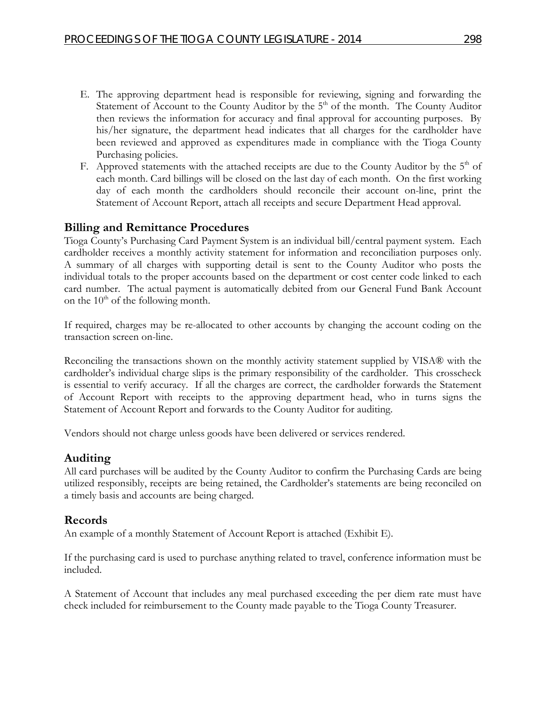- E. The approving department head is responsible for reviewing, signing and forwarding the Statement of Account to the County Auditor by the  $5<sup>th</sup>$  of the month. The County Auditor then reviews the information for accuracy and final approval for accounting purposes. By his/her signature, the department head indicates that all charges for the cardholder have been reviewed and approved as expenditures made in compliance with the Tioga County Purchasing policies.
- F. Approved statements with the attached receipts are due to the County Auditor by the  $5<sup>th</sup>$  of each month. Card billings will be closed on the last day of each month. On the first working day of each month the cardholders should reconcile their account on-line, print the Statement of Account Report, attach all receipts and secure Department Head approval.

## **Billing and Remittance Procedures**

Tioga County's Purchasing Card Payment System is an individual bill/central payment system. Each cardholder receives a monthly activity statement for information and reconciliation purposes only. A summary of all charges with supporting detail is sent to the County Auditor who posts the individual totals to the proper accounts based on the department or cost center code linked to each card number. The actual payment is automatically debited from our General Fund Bank Account on the  $10<sup>th</sup>$  of the following month.

If required, charges may be re-allocated to other accounts by changing the account coding on the transaction screen on-line.

Reconciling the transactions shown on the monthly activity statement supplied by VISA® with the cardholder's individual charge slips is the primary responsibility of the cardholder. This crosscheck is essential to verify accuracy. If all the charges are correct, the cardholder forwards the Statement of Account Report with receipts to the approving department head, who in turns signs the Statement of Account Report and forwards to the County Auditor for auditing.

Vendors should not charge unless goods have been delivered or services rendered.

#### **Auditing**

All card purchases will be audited by the County Auditor to confirm the Purchasing Cards are being utilized responsibly, receipts are being retained, the Cardholder's statements are being reconciled on a timely basis and accounts are being charged.

#### **Records**

An example of a monthly Statement of Account Report is attached (Exhibit E).

If the purchasing card is used to purchase anything related to travel, conference information must be included.

A Statement of Account that includes any meal purchased exceeding the per diem rate must have check included for reimbursement to the County made payable to the Tioga County Treasurer.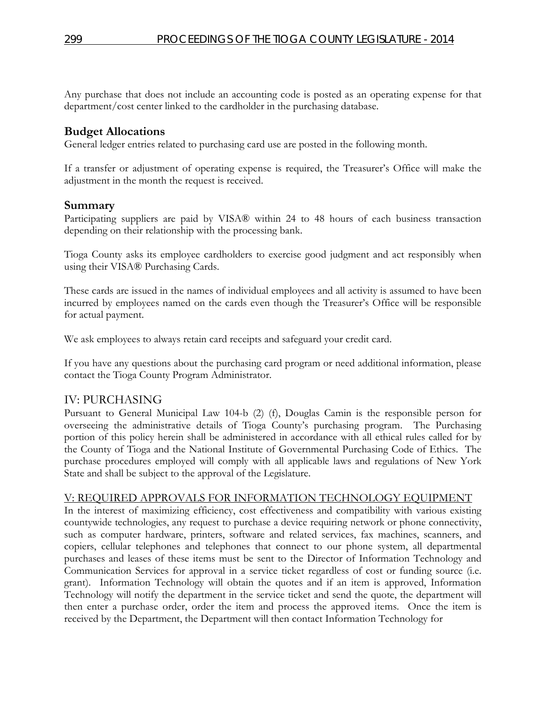Any purchase that does not include an accounting code is posted as an operating expense for that department/cost center linked to the cardholder in the purchasing database.

## **Budget Allocations**

General ledger entries related to purchasing card use are posted in the following month.

If a transfer or adjustment of operating expense is required, the Treasurer's Office will make the adjustment in the month the request is received.

### **Summary**

Participating suppliers are paid by VISA® within 24 to 48 hours of each business transaction depending on their relationship with the processing bank.

Tioga County asks its employee cardholders to exercise good judgment and act responsibly when using their VISA® Purchasing Cards.

These cards are issued in the names of individual employees and all activity is assumed to have been incurred by employees named on the cards even though the Treasurer's Office will be responsible for actual payment.

We ask employees to always retain card receipts and safeguard your credit card.

If you have any questions about the purchasing card program or need additional information, please contact the Tioga County Program Administrator.

### IV: PURCHASING

Pursuant to General Municipal Law 104-b (2) (f), Douglas Camin is the responsible person for overseeing the administrative details of Tioga County's purchasing program. The Purchasing portion of this policy herein shall be administered in accordance with all ethical rules called for by the County of Tioga and the National Institute of Governmental Purchasing Code of Ethics. The purchase procedures employed will comply with all applicable laws and regulations of New York State and shall be subject to the approval of the Legislature.

### V: REQUIRED APPROVALS FOR INFORMATION TECHNOLOGY EQUIPMENT

In the interest of maximizing efficiency, cost effectiveness and compatibility with various existing countywide technologies, any request to purchase a device requiring network or phone connectivity, such as computer hardware, printers, software and related services, fax machines, scanners, and copiers, cellular telephones and telephones that connect to our phone system, all departmental purchases and leases of these items must be sent to the Director of Information Technology and Communication Services for approval in a service ticket regardless of cost or funding source (i.e. grant). Information Technology will obtain the quotes and if an item is approved, Information Technology will notify the department in the service ticket and send the quote, the department will then enter a purchase order, order the item and process the approved items. Once the item is received by the Department, the Department will then contact Information Technology for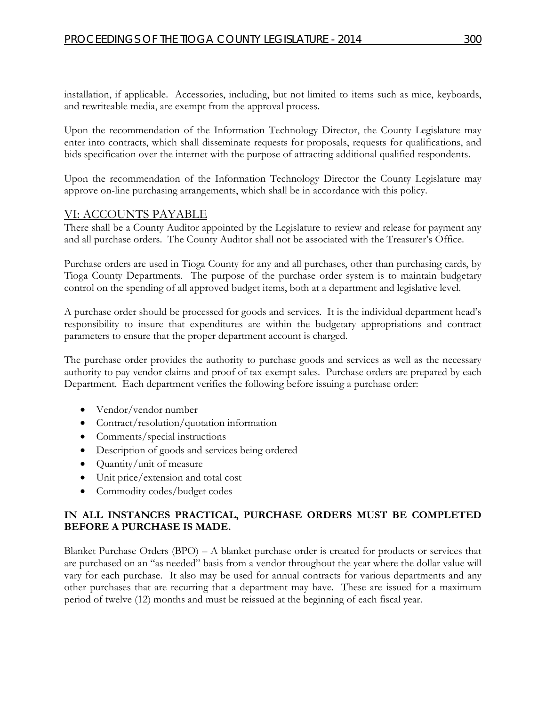installation, if applicable. Accessories, including, but not limited to items such as mice, keyboards, and rewriteable media, are exempt from the approval process.

Upon the recommendation of the Information Technology Director, the County Legislature may enter into contracts, which shall disseminate requests for proposals, requests for qualifications, and bids specification over the internet with the purpose of attracting additional qualified respondents.

Upon the recommendation of the Information Technology Director the County Legislature may approve on-line purchasing arrangements, which shall be in accordance with this policy.

### VI: ACCOUNTS PAYABLE

There shall be a County Auditor appointed by the Legislature to review and release for payment any and all purchase orders. The County Auditor shall not be associated with the Treasurer's Office.

Purchase orders are used in Tioga County for any and all purchases, other than purchasing cards, by Tioga County Departments. The purpose of the purchase order system is to maintain budgetary control on the spending of all approved budget items, both at a department and legislative level.

A purchase order should be processed for goods and services. It is the individual department head's responsibility to insure that expenditures are within the budgetary appropriations and contract parameters to ensure that the proper department account is charged.

The purchase order provides the authority to purchase goods and services as well as the necessary authority to pay vendor claims and proof of tax-exempt sales. Purchase orders are prepared by each Department. Each department verifies the following before issuing a purchase order:

- Vendor/vendor number
- Contract/resolution/quotation information
- Comments/special instructions
- Description of goods and services being ordered
- Quantity/unit of measure
- Unit price/extension and total cost
- Commodity codes/budget codes

#### **IN ALL INSTANCES PRACTICAL, PURCHASE ORDERS MUST BE COMPLETED BEFORE A PURCHASE IS MADE.**

Blanket Purchase Orders (BPO) – A blanket purchase order is created for products or services that are purchased on an "as needed" basis from a vendor throughout the year where the dollar value will vary for each purchase. It also may be used for annual contracts for various departments and any other purchases that are recurring that a department may have. These are issued for a maximum period of twelve (12) months and must be reissued at the beginning of each fiscal year.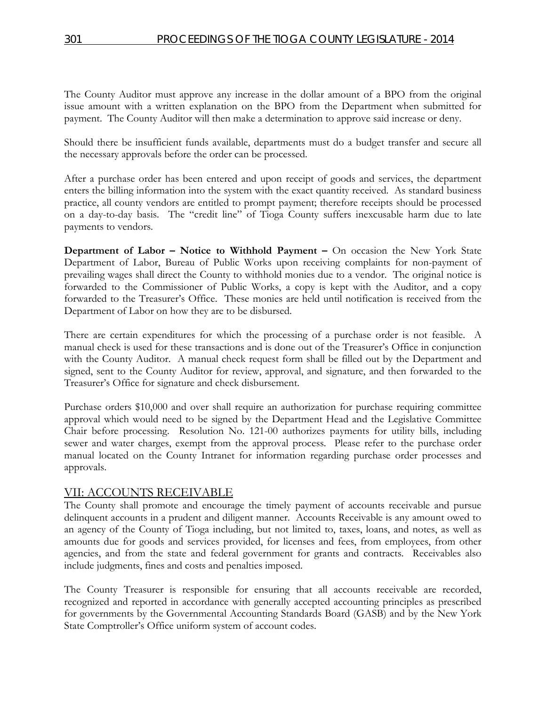The County Auditor must approve any increase in the dollar amount of a BPO from the original issue amount with a written explanation on the BPO from the Department when submitted for payment. The County Auditor will then make a determination to approve said increase or deny.

Should there be insufficient funds available, departments must do a budget transfer and secure all the necessary approvals before the order can be processed.

After a purchase order has been entered and upon receipt of goods and services, the department enters the billing information into the system with the exact quantity received. As standard business practice, all county vendors are entitled to prompt payment; therefore receipts should be processed on a day-to-day basis. The "credit line" of Tioga County suffers inexcusable harm due to late payments to vendors.

**Department of Labor – Notice to Withhold Payment –** On occasion the New York State Department of Labor, Bureau of Public Works upon receiving complaints for non-payment of prevailing wages shall direct the County to withhold monies due to a vendor. The original notice is forwarded to the Commissioner of Public Works, a copy is kept with the Auditor, and a copy forwarded to the Treasurer's Office. These monies are held until notification is received from the Department of Labor on how they are to be disbursed.

There are certain expenditures for which the processing of a purchase order is not feasible. A manual check is used for these transactions and is done out of the Treasurer's Office in conjunction with the County Auditor. A manual check request form shall be filled out by the Department and signed, sent to the County Auditor for review, approval, and signature, and then forwarded to the Treasurer's Office for signature and check disbursement.

Purchase orders \$10,000 and over shall require an authorization for purchase requiring committee approval which would need to be signed by the Department Head and the Legislative Committee Chair before processing. Resolution No. 121-00 authorizes payments for utility bills, including sewer and water charges, exempt from the approval process. Please refer to the purchase order manual located on the County Intranet for information regarding purchase order processes and approvals.

### VII: ACCOUNTS RECEIVABLE

The County shall promote and encourage the timely payment of accounts receivable and pursue delinquent accounts in a prudent and diligent manner. Accounts Receivable is any amount owed to an agency of the County of Tioga including, but not limited to, taxes, loans, and notes, as well as amounts due for goods and services provided, for licenses and fees, from employees, from other agencies, and from the state and federal government for grants and contracts. Receivables also include judgments, fines and costs and penalties imposed.

The County Treasurer is responsible for ensuring that all accounts receivable are recorded, recognized and reported in accordance with generally accepted accounting principles as prescribed for governments by the Governmental Accounting Standards Board (GASB) and by the New York State Comptroller's Office uniform system of account codes.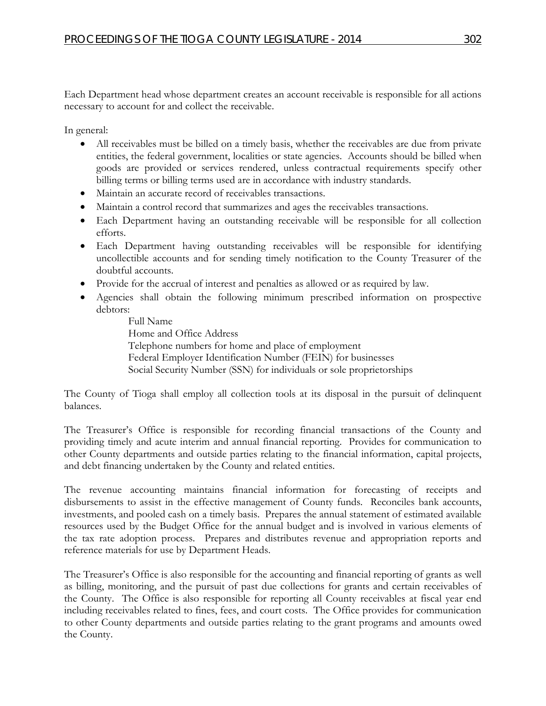Each Department head whose department creates an account receivable is responsible for all actions necessary to account for and collect the receivable.

In general:

- All receivables must be billed on a timely basis, whether the receivables are due from private entities, the federal government, localities or state agencies. Accounts should be billed when goods are provided or services rendered, unless contractual requirements specify other billing terms or billing terms used are in accordance with industry standards.
- Maintain an accurate record of receivables transactions.
- Maintain a control record that summarizes and ages the receivables transactions.
- Each Department having an outstanding receivable will be responsible for all collection efforts.
- Each Department having outstanding receivables will be responsible for identifying uncollectible accounts and for sending timely notification to the County Treasurer of the doubtful accounts.
- Provide for the accrual of interest and penalties as allowed or as required by law.
- Agencies shall obtain the following minimum prescribed information on prospective debtors:

Full Name Home and Office Address Telephone numbers for home and place of employment Federal Employer Identification Number (FEIN) for businesses Social Security Number (SSN) for individuals or sole proprietorships

The County of Tioga shall employ all collection tools at its disposal in the pursuit of delinquent balances.

The Treasurer's Office is responsible for recording financial transactions of the County and providing timely and acute interim and annual financial reporting. Provides for communication to other County departments and outside parties relating to the financial information, capital projects, and debt financing undertaken by the County and related entities.

The revenue accounting maintains financial information for forecasting of receipts and disbursements to assist in the effective management of County funds. Reconciles bank accounts, investments, and pooled cash on a timely basis. Prepares the annual statement of estimated available resources used by the Budget Office for the annual budget and is involved in various elements of the tax rate adoption process. Prepares and distributes revenue and appropriation reports and reference materials for use by Department Heads.

The Treasurer's Office is also responsible for the accounting and financial reporting of grants as well as billing, monitoring, and the pursuit of past due collections for grants and certain receivables of the County. The Office is also responsible for reporting all County receivables at fiscal year end including receivables related to fines, fees, and court costs. The Office provides for communication to other County departments and outside parties relating to the grant programs and amounts owed the County.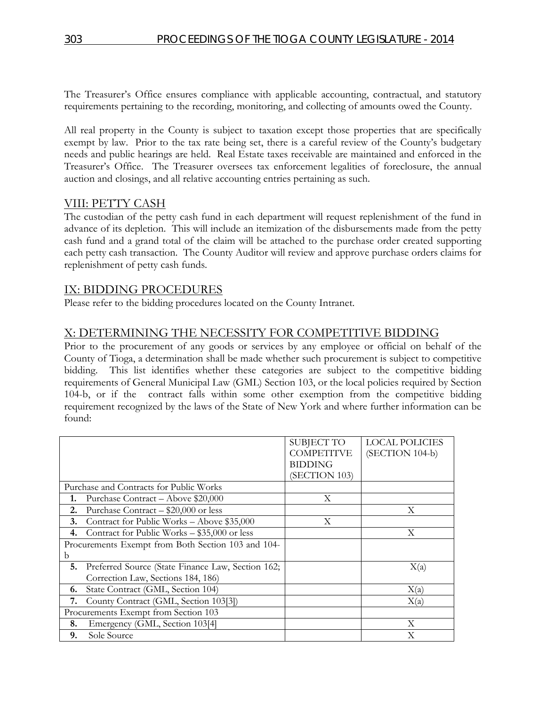The Treasurer's Office ensures compliance with applicable accounting, contractual, and statutory requirements pertaining to the recording, monitoring, and collecting of amounts owed the County.

All real property in the County is subject to taxation except those properties that are specifically exempt by law. Prior to the tax rate being set, there is a careful review of the County's budgetary needs and public hearings are held. Real Estate taxes receivable are maintained and enforced in the Treasurer's Office. The Treasurer oversees tax enforcement legalities of foreclosure, the annual auction and closings, and all relative accounting entries pertaining as such.

## VIII: PETTY CASH

The custodian of the petty cash fund in each department will request replenishment of the fund in advance of its depletion. This will include an itemization of the disbursements made from the petty cash fund and a grand total of the claim will be attached to the purchase order created supporting each petty cash transaction. The County Auditor will review and approve purchase orders claims for replenishment of petty cash funds.

## IX: BIDDING PROCEDURES

Please refer to the bidding procedures located on the County Intranet.

## X: DETERMINING THE NECESSITY FOR COMPETITIVE BIDDING

Prior to the procurement of any goods or services by any employee or official on behalf of the County of Tioga, a determination shall be made whether such procurement is subject to competitive bidding. This list identifies whether these categories are subject to the competitive bidding requirements of General Municipal Law (GML) Section 103, or the local policies required by Section 104-b, or if the contract falls within some other exemption from the competitive bidding requirement recognized by the laws of the State of New York and where further information can be found:

|    |                                                      | SUBJECT TO        | <b>LOCAL POLICIES</b> |
|----|------------------------------------------------------|-------------------|-----------------------|
|    |                                                      | <b>COMPETITVE</b> | (SECTION 104-b)       |
|    |                                                      | <b>BIDDING</b>    |                       |
|    |                                                      | (SECTION 103)     |                       |
|    | Purchase and Contracts for Public Works              |                   |                       |
| 1. | Purchase Contract - Above \$20,000                   | X                 |                       |
| 2. | Purchase Contract $-$ \$20,000 or less               |                   | X                     |
| 3. | Contract for Public Works - Above \$35,000           | X                 |                       |
| 4. | Contract for Public Works $-$ \$35,000 or less       |                   | X                     |
|    | Procurements Exempt from Both Section 103 and 104-   |                   |                       |
| b  |                                                      |                   |                       |
|    | 5. Preferred Source (State Finance Law, Section 162; |                   | X(a)                  |
|    | Correction Law, Sections 184, 186)                   |                   |                       |
| 6. | State Contract (GML, Section 104)                    |                   | X(a)                  |
| 7. | County Contract (GML, Section 103[3])                |                   | X(a)                  |
|    | Procurements Exempt from Section 103                 |                   |                       |
| 8. | Emergency (GML, Section 103[4]                       |                   | X                     |
| 9. | Sole Source                                          |                   | X                     |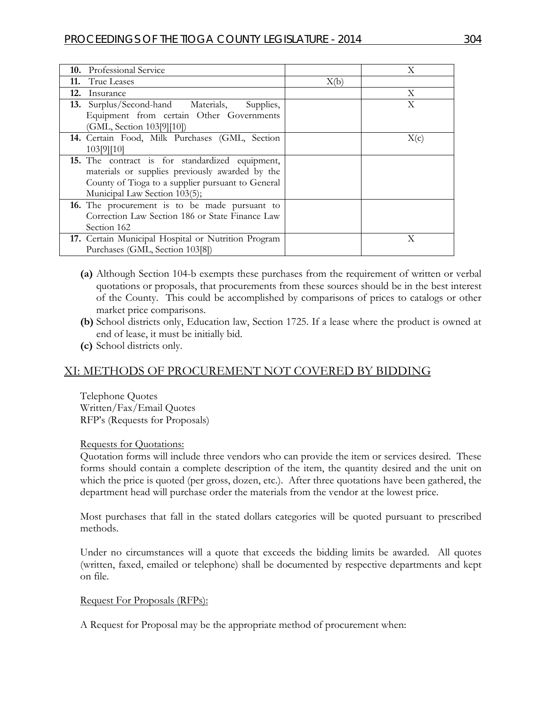| 10. Professional Service                               |      | Х    |
|--------------------------------------------------------|------|------|
| <b>11.</b> True Leases                                 | X(b) |      |
| 12.<br>Insurance                                       |      | X    |
| <b>13.</b> Surplus/Second-hand Materials,<br>Supplies, |      | X    |
| Equipment from certain Other Governments               |      |      |
| (GML, Section 103[9][10])                              |      |      |
| 14. Certain Food, Milk Purchases (GML, Section         |      | X(c) |
| 103[9][10]                                             |      |      |
| 15. The contract is for standardized equipment,        |      |      |
| materials or supplies previously awarded by the        |      |      |
| County of Tioga to a supplier pursuant to General      |      |      |
| Municipal Law Section 103(5);                          |      |      |
| 16. The procurement is to be made pursuant to          |      |      |
| Correction Law Section 186 or State Finance Law        |      |      |
| Section 162                                            |      |      |
| 17. Certain Municipal Hospital or Nutrition Program    |      | X    |
| Purchases (GML, Section 103[8])                        |      |      |

- **(a)** Although Section 104-b exempts these purchases from the requirement of written or verbal quotations or proposals, that procurements from these sources should be in the best interest of the County. This could be accomplished by comparisons of prices to catalogs or other market price comparisons.
- **(b)** School districts only, Education law, Section 1725. If a lease where the product is owned at end of lease, it must be initially bid.
- **(c)** School districts only.

## XI: METHODS OF PROCUREMENT NOT COVERED BY BIDDING

Telephone Quotes Written/Fax/Email Quotes RFP's (Requests for Proposals)

#### Requests for Quotations:

Quotation forms will include three vendors who can provide the item or services desired. These forms should contain a complete description of the item, the quantity desired and the unit on which the price is quoted (per gross, dozen, etc.). After three quotations have been gathered, the department head will purchase order the materials from the vendor at the lowest price.

Most purchases that fall in the stated dollars categories will be quoted pursuant to prescribed methods.

Under no circumstances will a quote that exceeds the bidding limits be awarded. All quotes (written, faxed, emailed or telephone) shall be documented by respective departments and kept on file.

#### Request For Proposals (RFPs):

A Request for Proposal may be the appropriate method of procurement when: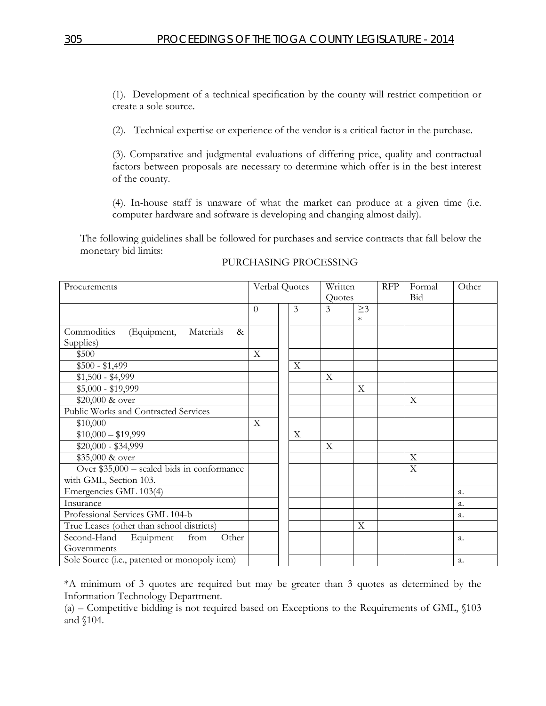(1). Development of a technical specification by the county will restrict competition or create a sole source.

(2). Technical expertise or experience of the vendor is a critical factor in the purchase.

(3). Comparative and judgmental evaluations of differing price, quality and contractual factors between proposals are necessary to determine which offer is in the best interest of the county.

(4). In-house staff is unaware of what the market can produce at a given time (i.e. computer hardware and software is developing and changing almost daily).

The following guidelines shall be followed for purchases and service contracts that fall below the monetary bid limits:

| Procurements                                    |          | Verbal Quotes |             | Written                   |                           | <b>RFP</b> | Formal | Other |
|-------------------------------------------------|----------|---------------|-------------|---------------------------|---------------------------|------------|--------|-------|
|                                                 |          |               | Quotes      |                           |                           | <b>Bid</b> |        |       |
|                                                 | $\Omega$ |               | 3           | 3                         | $\geq$ 3                  |            |        |       |
|                                                 |          |               |             |                           | $\ast$                    |            |        |       |
| Commodities<br>(Equipment,<br>Materials<br>$\&$ |          |               |             |                           |                           |            |        |       |
| Supplies)                                       |          |               |             |                           |                           |            |        |       |
| \$500                                           | X        |               |             |                           |                           |            |        |       |
| $$500 - $1,499$                                 |          |               | $\mathbf X$ |                           |                           |            |        |       |
| $$1,500 - $4,999$                               |          |               |             | $\boldsymbol{\mathrm{X}}$ |                           |            |        |       |
| $$5,000 - $19,999$                              |          |               |             |                           | $\boldsymbol{\mathrm{X}}$ |            |        |       |
| \$20,000 & over                                 |          |               |             |                           |                           |            | X      |       |
| Public Works and Contracted Services            |          |               |             |                           |                           |            |        |       |
| \$10,000                                        | X        |               |             |                           |                           |            |        |       |
| $$10,000 - $19,999$                             |          |               | $\mathbf X$ |                           |                           |            |        |       |
| $$20,000 - $34,999$                             |          |               |             | $\boldsymbol{\mathrm{X}}$ |                           |            |        |       |
| \$35,000 & over                                 |          |               |             |                           |                           |            | X      |       |
| Over \$35,000 - sealed bids in conformance      |          |               |             |                           |                           |            | X      |       |
| with GML, Section 103.                          |          |               |             |                           |                           |            |        |       |
| Emergencies GML 103(4)                          |          |               |             |                           |                           |            |        | a.    |
| Insurance                                       |          |               |             |                           |                           |            |        | a.    |
| Professional Services GML 104-b                 |          |               |             |                           |                           |            |        | a.    |
| True Leases (other than school districts)       |          |               |             |                           | $\overline{X}$            |            |        |       |
| Second-Hand<br>from<br>Equipment<br>Other       |          |               |             |                           |                           |            |        | a.    |
| Governments                                     |          |               |             |                           |                           |            |        |       |
| Sole Source (i.e., patented or monopoly item)   |          |               |             |                           |                           |            |        | a.    |

#### PURCHASING PROCESSING

\*A minimum of 3 quotes are required but may be greater than 3 quotes as determined by the Information Technology Department.

(a) – Competitive bidding is not required based on Exceptions to the Requirements of GML, §103 and §104.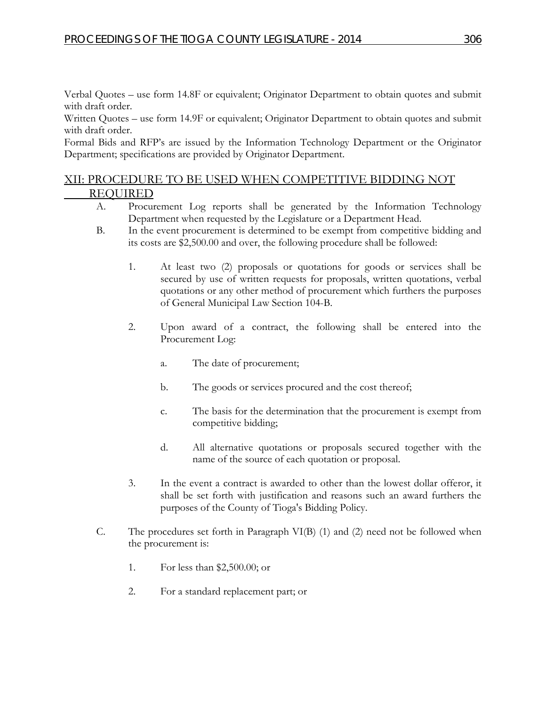Verbal Quotes – use form 14.8F or equivalent; Originator Department to obtain quotes and submit with draft order.

Written Quotes – use form 14.9F or equivalent; Originator Department to obtain quotes and submit with draft order.

Formal Bids and RFP's are issued by the Information Technology Department or the Originator Department; specifications are provided by Originator Department.

## XII: PROCEDURE TO BE USED WHEN COMPETITIVE BIDDING NOT REQUIRED

- A. Procurement Log reports shall be generated by the Information Technology Department when requested by the Legislature or a Department Head.
- B. In the event procurement is determined to be exempt from competitive bidding and its costs are \$2,500.00 and over, the following procedure shall be followed:
	- 1. At least two (2) proposals or quotations for goods or services shall be secured by use of written requests for proposals, written quotations, verbal quotations or any other method of procurement which furthers the purposes of General Municipal Law Section 104-B.
	- 2. Upon award of a contract, the following shall be entered into the Procurement Log:
		- a. The date of procurement;
		- b. The goods or services procured and the cost thereof;
		- c. The basis for the determination that the procurement is exempt from competitive bidding;
		- d. All alternative quotations or proposals secured together with the name of the source of each quotation or proposal.
	- 3. In the event a contract is awarded to other than the lowest dollar offeror, it shall be set forth with justification and reasons such an award furthers the purposes of the County of Tioga's Bidding Policy.
- C. The procedures set forth in Paragraph VI(B) (1) and (2) need not be followed when the procurement is:
	- 1. For less than \$2,500.00; or
	- 2. For a standard replacement part; or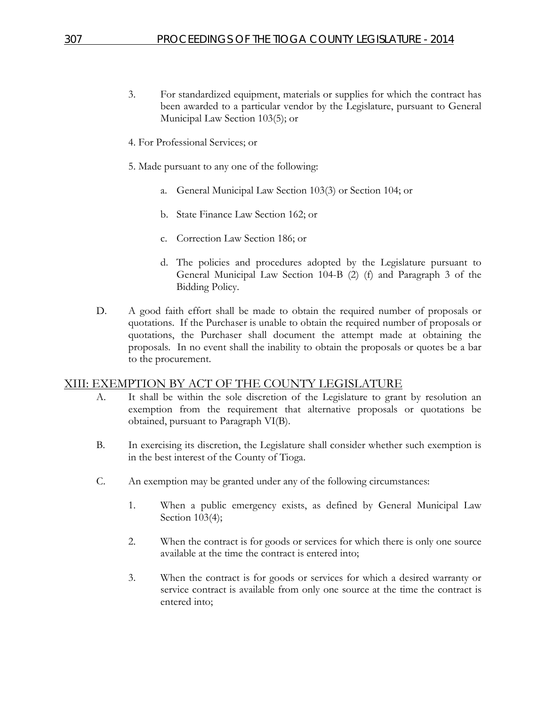- 3. For standardized equipment, materials or supplies for which the contract has been awarded to a particular vendor by the Legislature, pursuant to General Municipal Law Section 103(5); or
- 4. For Professional Services; or
- 5. Made pursuant to any one of the following:
	- a. General Municipal Law Section 103(3) or Section 104; or
	- b. State Finance Law Section 162; or
	- c. Correction Law Section 186; or
	- d. The policies and procedures adopted by the Legislature pursuant to General Municipal Law Section 104-B (2) (f) and Paragraph 3 of the Bidding Policy.
- D. A good faith effort shall be made to obtain the required number of proposals or quotations. If the Purchaser is unable to obtain the required number of proposals or quotations, the Purchaser shall document the attempt made at obtaining the proposals. In no event shall the inability to obtain the proposals or quotes be a bar to the procurement.

#### XIII: EXEMPTION BY ACT OF THE COUNTY LEGISLATURE

- A. It shall be within the sole discretion of the Legislature to grant by resolution an exemption from the requirement that alternative proposals or quotations be obtained, pursuant to Paragraph VI(B).
- B. In exercising its discretion, the Legislature shall consider whether such exemption is in the best interest of the County of Tioga.
- C. An exemption may be granted under any of the following circumstances:
	- 1. When a public emergency exists, as defined by General Municipal Law Section 103(4);
	- 2. When the contract is for goods or services for which there is only one source available at the time the contract is entered into;
	- 3. When the contract is for goods or services for which a desired warranty or service contract is available from only one source at the time the contract is entered into;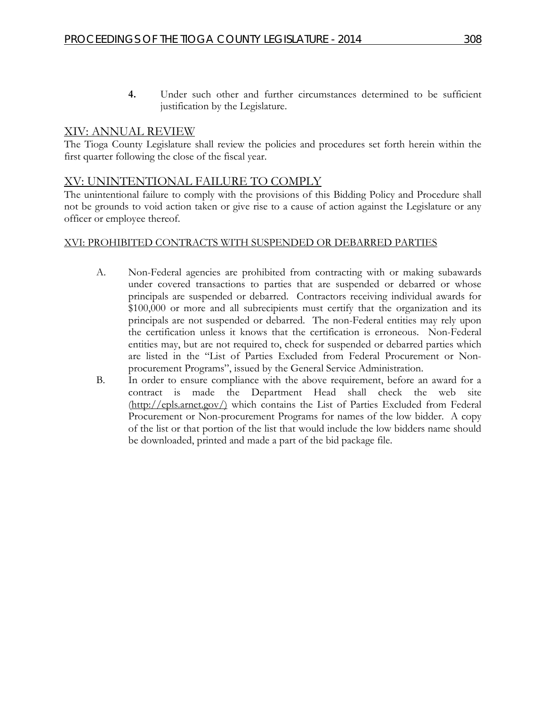**4.** Under such other and further circumstances determined to be sufficient justification by the Legislature.

## XIV: ANNUAL REVIEW

The Tioga County Legislature shall review the policies and procedures set forth herein within the first quarter following the close of the fiscal year.

### XV: UNINTENTIONAL FAILURE TO COMPLY

The unintentional failure to comply with the provisions of this Bidding Policy and Procedure shall not be grounds to void action taken or give rise to a cause of action against the Legislature or any officer or employee thereof.

#### XVI: PROHIBITED CONTRACTS WITH SUSPENDED OR DEBARRED PARTIES

- A. Non-Federal agencies are prohibited from contracting with or making subawards under covered transactions to parties that are suspended or debarred or whose principals are suspended or debarred. Contractors receiving individual awards for \$100,000 or more and all subrecipients must certify that the organization and its principals are not suspended or debarred. The non-Federal entities may rely upon the certification unless it knows that the certification is erroneous. Non-Federal entities may, but are not required to, check for suspended or debarred parties which are listed in the "List of Parties Excluded from Federal Procurement or Nonprocurement Programs", issued by the General Service Administration.
- B. In order to ensure compliance with the above requirement, before an award for a contract is made the Department Head shall check the web (http://epls.arnet.gov/) which contains the List of Parties Excluded from Federal Procurement or Non-procurement Programs for names of the low bidder. A copy of the list or that portion of the list that would include the low bidders name should be downloaded, printed and made a part of the bid package file.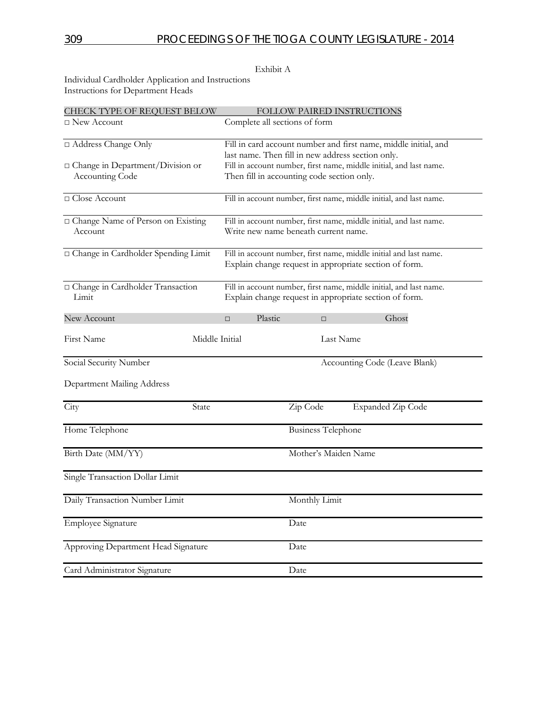#### Exhibit A

Individual Cardholder Application and Instructions Instructions for Department Heads

| <b>CHECK TYPE OF REQUEST BELOW</b>      | FOLLOW PAIRED INSTRUCTIONS                                      |                                                                    |                                                                    |  |  |
|-----------------------------------------|-----------------------------------------------------------------|--------------------------------------------------------------------|--------------------------------------------------------------------|--|--|
| □ New Account                           | Complete all sections of form                                   |                                                                    |                                                                    |  |  |
| □ Address Change Only                   | Fill in card account number and first name, middle initial, and |                                                                    |                                                                    |  |  |
|                                         | last name. Then fill in new address section only.               |                                                                    |                                                                    |  |  |
| $\Box$ Change in Department/Division or |                                                                 |                                                                    | Fill in account number, first name, middle initial, and last name. |  |  |
| Accounting Code                         | Then fill in accounting code section only.                      |                                                                    |                                                                    |  |  |
| □ Close Account                         |                                                                 | Fill in account number, first name, middle initial, and last name. |                                                                    |  |  |
| □ Change Name of Person on Existing     |                                                                 |                                                                    | Fill in account number, first name, middle initial, and last name. |  |  |
| Account                                 | Write new name beneath current name.                            |                                                                    |                                                                    |  |  |
| □ Change in Cardholder Spending Limit   |                                                                 |                                                                    | Fill in account number, first name, middle initial and last name.  |  |  |
|                                         |                                                                 |                                                                    | Explain change request in appropriate section of form.             |  |  |
| □ Change in Cardholder Transaction      |                                                                 |                                                                    | Fill in account number, first name, middle initial, and last name. |  |  |
| Limit                                   |                                                                 |                                                                    | Explain change request in appropriate section of form.             |  |  |
| New Account                             | Plastic<br>$\Box$                                               | $\Box$                                                             | Ghost                                                              |  |  |
| Middle Initial<br>First Name            |                                                                 | Last Name                                                          |                                                                    |  |  |
| Social Security Number                  |                                                                 |                                                                    | Accounting Code (Leave Blank)                                      |  |  |
| Department Mailing Address              |                                                                 |                                                                    |                                                                    |  |  |
| City<br>State                           |                                                                 | Zip Code                                                           | <b>Expanded Zip Code</b>                                           |  |  |
| Home Telephone                          |                                                                 | <b>Business Telephone</b>                                          |                                                                    |  |  |
| Birth Date (MM/YY)                      |                                                                 | Mother's Maiden Name                                               |                                                                    |  |  |
| Single Transaction Dollar Limit         |                                                                 |                                                                    |                                                                    |  |  |
| Daily Transaction Number Limit          |                                                                 | Monthly Limit                                                      |                                                                    |  |  |
| <b>Employee Signature</b>               |                                                                 | Date                                                               |                                                                    |  |  |
| Approving Department Head Signature     |                                                                 | Date                                                               |                                                                    |  |  |
| Card Administrator Signature            |                                                                 | Date                                                               |                                                                    |  |  |
|                                         |                                                                 |                                                                    |                                                                    |  |  |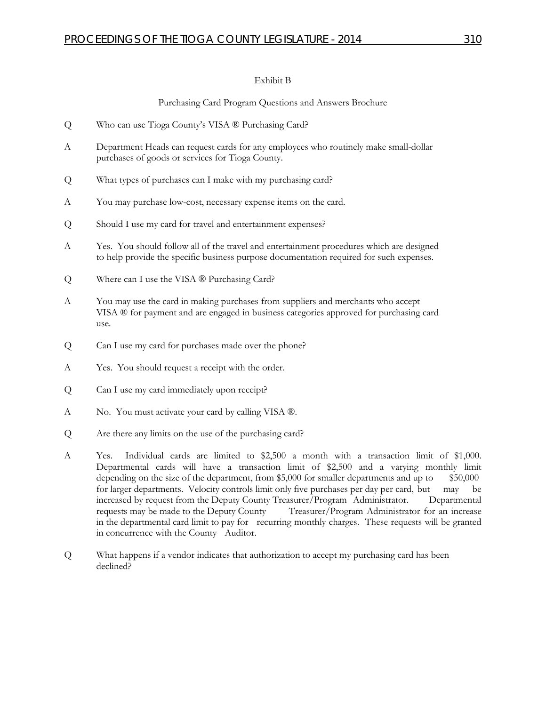#### Exhibit B

#### Purchasing Card Program Questions and Answers Brochure

- Q Who can use Tioga County's VISA ® Purchasing Card?
- A Department Heads can request cards for any employees who routinely make small-dollar purchases of goods or services for Tioga County.
- Q What types of purchases can I make with my purchasing card?
- A You may purchase low-cost, necessary expense items on the card.
- Q Should I use my card for travel and entertainment expenses?
- A Yes. You should follow all of the travel and entertainment procedures which are designed to help provide the specific business purpose documentation required for such expenses.
- Q Where can I use the VISA ® Purchasing Card?
- A You may use the card in making purchases from suppliers and merchants who accept VISA ® for payment and are engaged in business categories approved for purchasing card use.
- Q Can I use my card for purchases made over the phone?
- A Yes. You should request a receipt with the order.
- Q Can I use my card immediately upon receipt?
- A No. You must activate your card by calling VISA ®.
- Q Are there any limits on the use of the purchasing card?
- A Yes. Individual cards are limited to \$2,500 a month with a transaction limit of \$1,000. Departmental cards will have a transaction limit of \$2,500 and a varying monthly limit depending on the size of the department, from  $$5,000$  for smaller departments and up to  $$50,000$ for larger departments. Velocity controls limit only five purchases per day per card, but may be increased by request from the Deputy County Treasurer/Program Administrator. Departmental requests may be made to the Deputy County Treasurer/Program Administrator for an increase in the departmental card limit to pay for recurring monthly charges. These requests will be granted in concurrence with the County Auditor.
- Q What happens if a vendor indicates that authorization to accept my purchasing card has been declined?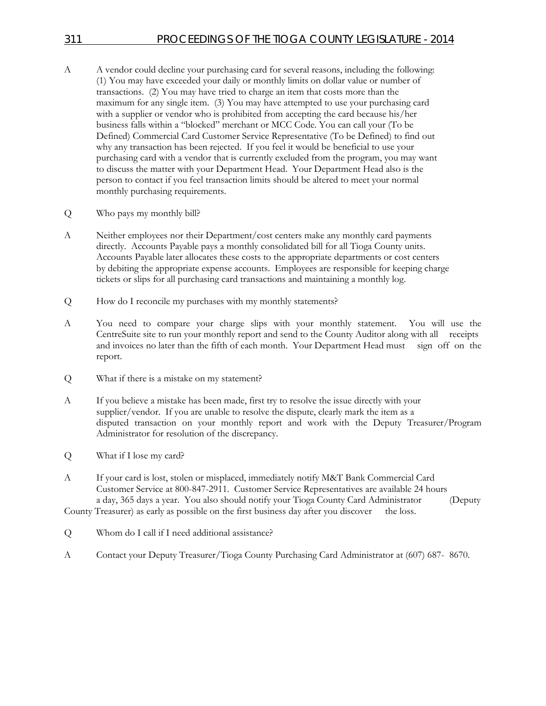- A A vendor could decline your purchasing card for several reasons, including the following: (1) You may have exceeded your daily or monthly limits on dollar value or number of transactions. (2) You may have tried to charge an item that costs more than the maximum for any single item. (3) You may have attempted to use your purchasing card with a supplier or vendor who is prohibited from accepting the card because his/her business falls within a "blocked" merchant or MCC Code. You can call your (To be Defined) Commercial Card Customer Service Representative (To be Defined) to find out why any transaction has been rejected. If you feel it would be beneficial to use your purchasing card with a vendor that is currently excluded from the program, you may want to discuss the matter with your Department Head. Your Department Head also is the person to contact if you feel transaction limits should be altered to meet your normal monthly purchasing requirements.
- Q Who pays my monthly bill?
- A Neither employees nor their Department/cost centers make any monthly card payments directly. Accounts Payable pays a monthly consolidated bill for all Tioga County units. Accounts Payable later allocates these costs to the appropriate departments or cost centers by debiting the appropriate expense accounts. Employees are responsible for keeping charge tickets or slips for all purchasing card transactions and maintaining a monthly log.
- Q How do I reconcile my purchases with my monthly statements?
- A You need to compare your charge slips with your monthly statement. You will use the CentreSuite site to run your monthly report and send to the County Auditor along with all receipts and invoices no later than the fifth of each month. Your Department Head must sign off on the report.
- Q What if there is a mistake on my statement?
- A If you believe a mistake has been made, first try to resolve the issue directly with your supplier/vendor. If you are unable to resolve the dispute, clearly mark the item as a disputed transaction on your monthly report and work with the Deputy Treasurer/Program Administrator for resolution of the discrepancy.
- Q What if I lose my card?
- A If your card is lost, stolen or misplaced, immediately notify M&T Bank Commercial Card Customer Service at 800-847-2911. Customer Service Representatives are available 24 hours a day, 365 days a year. You also should notify your Tioga County Card Administrator (Deputy

County Treasurer) as early as possible on the first business day after you discover the loss.

- Q Whom do I call if I need additional assistance?
- A Contact your Deputy Treasurer/Tioga County Purchasing Card Administrator at (607) 687- 8670.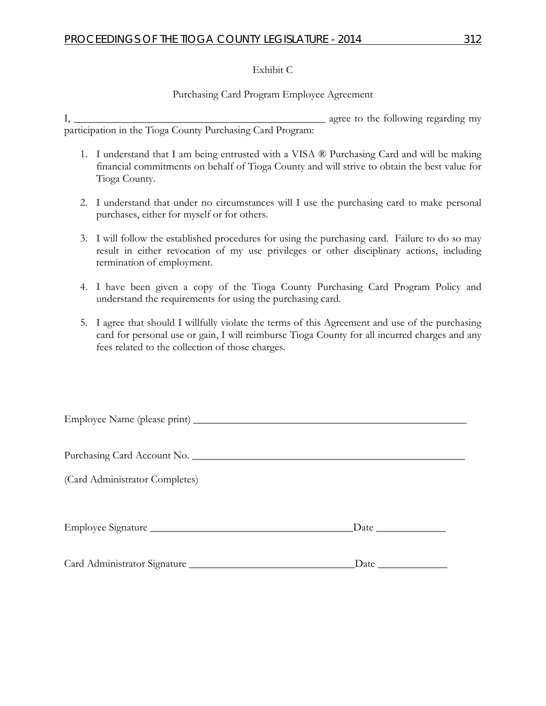#### Exhibit C

#### Purchasing Card Program Employee Agreement

I, \_\_\_\_\_\_\_\_\_\_\_\_\_\_\_\_\_\_\_\_\_\_\_\_\_\_\_\_\_\_\_\_\_\_\_\_\_\_\_\_\_\_\_\_\_\_\_ agree to the following regarding my participation in the Tioga County Purchasing Card Program:

- 1. I understand that I am being entrusted with a VISA ® Purchasing Card and will be making financial commitments on behalf of Tioga County and will strive to obtain the best value for Tioga County.
- 2. I understand that under no circumstances will I use the purchasing card to make personal purchases, either for myself or for others.
- 3. I will follow the established procedures for using the purchasing card. Failure to do so may result in either revocation of my use privileges or other disciplinary actions, including termination of employment.
- 4. I have been given a copy of the Tioga County Purchasing Card Program Policy and understand the requirements for using the purchasing card.
- 5. I agree that should I willfully violate the terms of this Agreement and use of the purchasing card for personal use or gain, I will reimburse Tioga County for all incurred charges and any fees related to the collection of those charges.

| Purchasing Card Account No.    |                        |
|--------------------------------|------------------------|
| (Card Administrator Completes) |                        |
|                                | $\Gamma$ Date $\Gamma$ |
|                                |                        |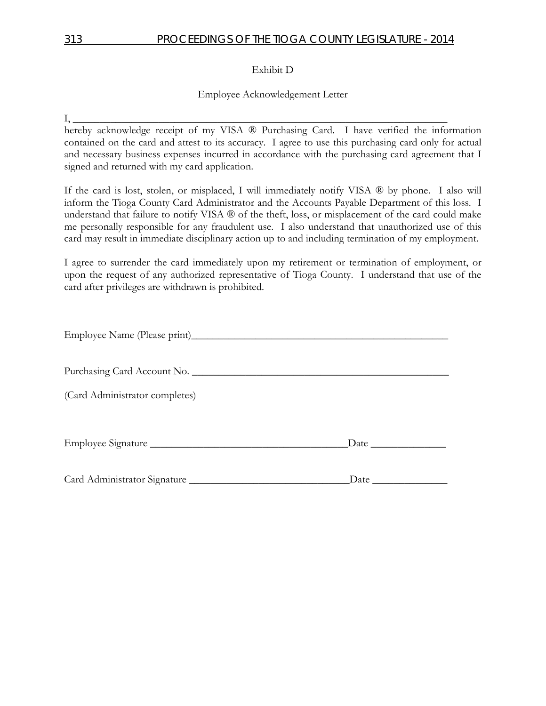## 313 PROCEEDINGS OF THE TIOGA COUNTY LEGISLATURE - 2014

Exhibit D

Employee Acknowledgement Letter

 $I, \_\_$ hereby acknowledge receipt of my VISA ® Purchasing Card. I have verified the information contained on the card and attest to its accuracy. I agree to use this purchasing card only for actual and necessary business expenses incurred in accordance with the purchasing card agreement that I signed and returned with my card application.

If the card is lost, stolen, or misplaced, I will immediately notify VISA ® by phone. I also will inform the Tioga County Card Administrator and the Accounts Payable Department of this loss. I understand that failure to notify VISA ® of the theft, loss, or misplacement of the card could make me personally responsible for any fraudulent use. I also understand that unauthorized use of this card may result in immediate disciplinary action up to and including termination of my employment.

I agree to surrender the card immediately upon my retirement or termination of employment, or upon the request of any authorized representative of Tioga County. I understand that use of the card after privileges are withdrawn is prohibited.

| Purchasing Card Account No.    |                                                                                                                                                                                                                               |
|--------------------------------|-------------------------------------------------------------------------------------------------------------------------------------------------------------------------------------------------------------------------------|
| (Card Administrator completes) |                                                                                                                                                                                                                               |
|                                |                                                                                                                                                                                                                               |
|                                | Date and the same state of the state of the state of the state of the state of the state of the state of the state of the state of the state of the state of the state of the state of the state of the state of the state of |
|                                |                                                                                                                                                                                                                               |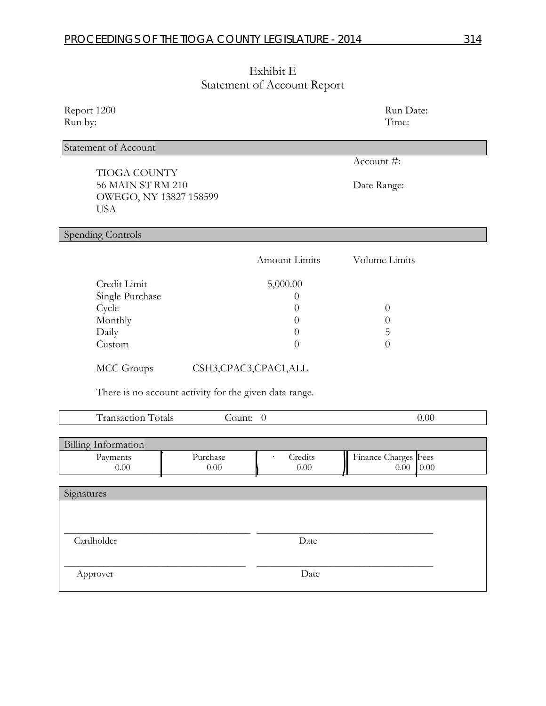| Exhibit E                          |  |
|------------------------------------|--|
| <b>Statement of Account Report</b> |  |

|                                                                                                                                                             |                                                                    | $\frac{1}{2}$ . The second state $\frac{1}{2}$                                                                            |                                                                     |      |
|-------------------------------------------------------------------------------------------------------------------------------------------------------------|--------------------------------------------------------------------|---------------------------------------------------------------------------------------------------------------------------|---------------------------------------------------------------------|------|
| Report 1200<br>Run by:                                                                                                                                      |                                                                    |                                                                                                                           | Run Date:<br>Time:                                                  |      |
| <b>Statement of Account</b>                                                                                                                                 |                                                                    |                                                                                                                           |                                                                     |      |
| <b>TIOGA COUNTY</b><br>56 MAIN ST RM 210<br>OWEGO, NY 13827 158599<br><b>USA</b>                                                                            |                                                                    |                                                                                                                           | Account #:<br>Date Range:                                           |      |
| Spending Controls                                                                                                                                           |                                                                    |                                                                                                                           |                                                                     |      |
|                                                                                                                                                             |                                                                    | <b>Amount Limits</b>                                                                                                      | Volume Limits                                                       |      |
| Credit Limit<br>Single Purchase<br>Cycle<br>Monthly<br>Daily<br>Custom<br>MCC Groups<br><b>Transaction Totals</b><br><b>Billing Information</b><br>Payments | There is no account activity for the given data range.<br>Purchase | 5,000.00<br>$\theta$<br>$\theta$<br>$\theta$<br>$\theta$<br>$\overline{0}$<br>CSH3,CPAC3,CPAC1,ALL<br>Count: 0<br>Credits | $\theta$<br>$\theta$<br>5<br>$\overline{0}$<br>Finance Charges Fees | 0.00 |
| 0.00                                                                                                                                                        | 0.00                                                               | 0.00                                                                                                                      | 0.00                                                                | 0.00 |
| Signatures                                                                                                                                                  |                                                                    |                                                                                                                           |                                                                     |      |
| Cardholder<br>Approver                                                                                                                                      |                                                                    | Date<br>Date                                                                                                              |                                                                     |      |
|                                                                                                                                                             |                                                                    |                                                                                                                           |                                                                     |      |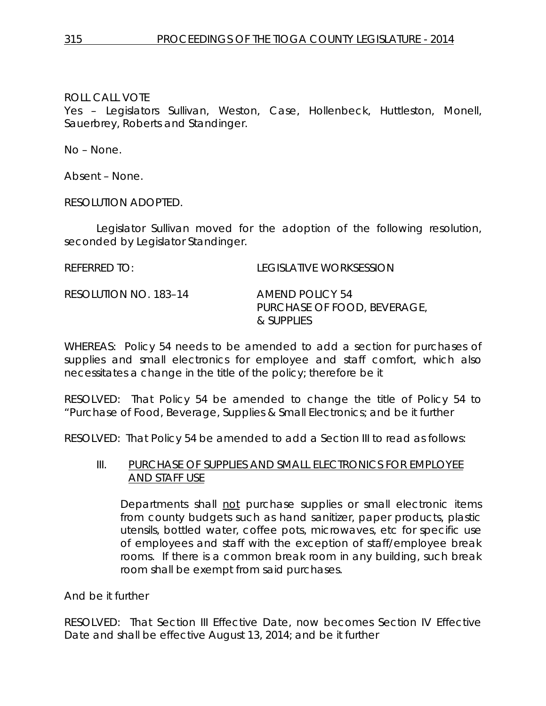Yes – Legislators Sullivan, Weston, Case, Hollenbeck, Huttleston, Monell, Sauerbrey, Roberts and Standinger.

No – None.

Absent – None.

RESOLUTION ADOPTED.

Legislator Sullivan moved for the adoption of the following resolution, seconded by Legislator Standinger.

| REFERRED TO:          | LEGISLATIVE WORKSESSION                                      |
|-----------------------|--------------------------------------------------------------|
| RESOLUTION NO. 183-14 | AMEND POLICY 54<br>PURCHASE OF FOOD, BEVERAGE,<br>& SUPPLIES |

WHEREAS: Policy 54 needs to be amended to add a section for purchases of supplies and small electronics for employee and staff comfort, which also necessitates a change in the title of the policy; therefore be it

RESOLVED: That Policy 54 be amended to change the title of Policy 54 to "Purchase of Food, Beverage, Supplies & Small Electronics; and be it further

RESOLVED: That Policy 54 be amended to add a Section III to read as follows:

### III. PURCHASE OF SUPPLIES AND SMALL ELECTRONICS FOR EMPLOYEE AND STAFF USE

Departments shall not purchase supplies or small electronic items from county budgets such as hand sanitizer, paper products, plastic utensils, bottled water, coffee pots, microwaves, etc for specific use of employees and staff with the exception of staff/employee break rooms. If there is a common break room in any building, such break room shall be exempt from said purchases.

## And be it further

RESOLVED: That Section III Effective Date, now becomes Section IV Effective Date and shall be effective August 13, 2014; and be it further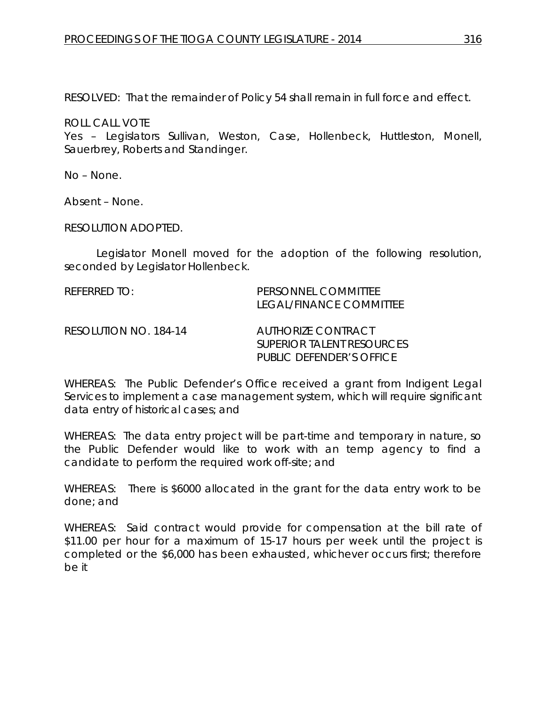RESOLVED: That the remainder of Policy 54 shall remain in full force and effect.

ROLL CALL VOTE

Yes – Legislators Sullivan, Weston, Case, Hollenbeck, Huttleston, Monell, Sauerbrey, Roberts and Standinger.

No – None.

Absent – None.

RESOLUTION ADOPTED.

Legislator Monell moved for the adoption of the following resolution, seconded by Legislator Hollenbeck.

REFERRED TO: PERSONNEL COMMITTEE LEGAL/FINANCE COMMITTEE RESOLUTION NO. 184-14 *AUTHORIZE CONTRACT SUPERIOR TALENT RESOURCES PUBLIC DEFENDER'S OFFICE*

WHEREAS: The Public Defender's Office received a grant from Indigent Legal Services to implement a case management system, which will require significant data entry of historical cases; and

WHEREAS: The data entry project will be part-time and temporary in nature, so the Public Defender would like to work with an temp agency to find a candidate to perform the required work off-site; and

WHEREAS: There is \$6000 allocated in the grant for the data entry work to be done; and

WHEREAS: Said contract would provide for compensation at the bill rate of \$11.00 per hour for a maximum of 15-17 hours per week until the project is completed or the \$6,000 has been exhausted, whichever occurs first; therefore be it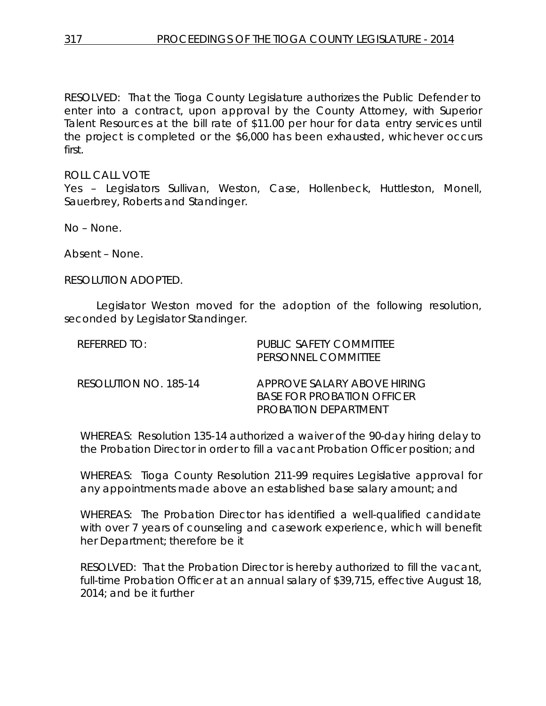RESOLVED: That the Tioga County Legislature authorizes the Public Defender to enter into a contract, upon approval by the County Attorney, with Superior Talent Resources at the bill rate of \$11.00 per hour for data entry services until the project is completed or the \$6,000 has been exhausted, whichever occurs first.

ROLL CALL VOTE

Yes – Legislators Sullivan, Weston, Case, Hollenbeck, Huttleston, Monell, Sauerbrey, Roberts and Standinger.

No – None.

Absent – None.

RESOLUTION ADOPTED.

Legislator Weston moved for the adoption of the following resolution, seconded by Legislator Standinger.

| REFERRED TO:          | PUBLIC SAFETY COMMITTEE<br>PERSONNEL COMMITTEE                                           |
|-----------------------|------------------------------------------------------------------------------------------|
| RESOLUTION NO. 185-14 | APPROVE SALARY ABOVE HIRING<br><b>BASE FOR PROBATION OFFICER</b><br>PROBATION DEPARTMENT |

WHEREAS: Resolution 135-14 authorized a waiver of the 90-day hiring delay to the Probation Director in order to fill a vacant Probation Officer position; and

WHEREAS: Tioga County Resolution 211-99 requires Legislative approval for any appointments made above an established base salary amount; and

WHEREAS: The Probation Director has identified a well-qualified candidate with over 7 years of counseling and casework experience, which will benefit her Department; therefore be it

RESOLVED: That the Probation Director is hereby authorized to fill the vacant, full-time Probation Officer at an annual salary of \$39,715, effective August 18, 2014; and be it further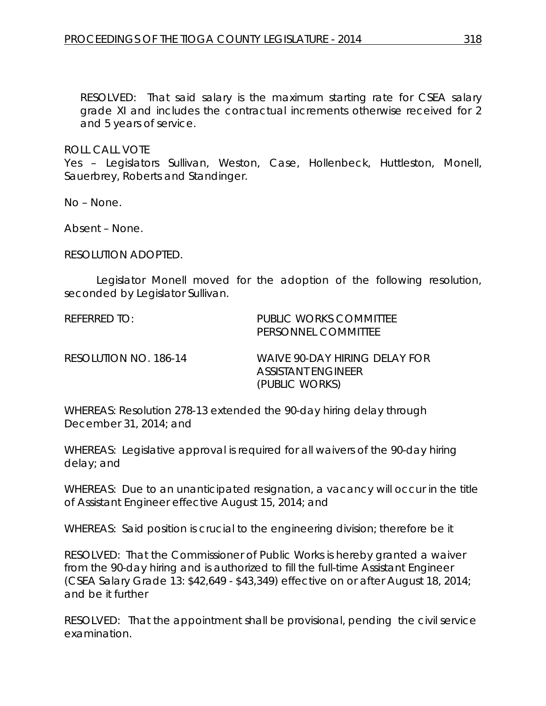RESOLVED: That said salary is the maximum starting rate for CSEA salary grade XI and includes the contractual increments otherwise received for 2 and 5 years of service.

ROLL CALL VOTE

Yes – Legislators Sullivan, Weston, Case, Hollenbeck, Huttleston, Monell, Sauerbrey, Roberts and Standinger.

No – None.

Absent – None.

RESOLUTION ADOPTED.

Legislator Monell moved for the adoption of the following resolution, seconded by Legislator Sullivan.

REFERRED TO: PUBLIC WORKS COMMITTEE PERSONNEL COMMITTEE

RESOLUTION NO. 186-14 *WAIVE 90-DAY HIRING DELAY FOR ASSISTANT ENGINEER (PUBLIC WORKS)*

WHEREAS: Resolution 278-13 extended the 90-day hiring delay through December 31, 2014; and

WHEREAS: Legislative approval is required for all waivers of the 90-day hiring delay; and

WHEREAS: Due to an unanticipated resignation, a vacancy will occur in the title of Assistant Engineer effective August 15, 2014; and

WHEREAS: Said position is crucial to the engineering division; therefore be it

RESOLVED: That the Commissioner of Public Works is hereby granted a waiver from the 90-day hiring and is authorized to fill the full-time Assistant Engineer (CSEA Salary Grade 13: \$42,649 - \$43,349) effective on or after August 18, 2014; and be it further

RESOLVED: That the appointment shall be provisional, pending the civil service examination.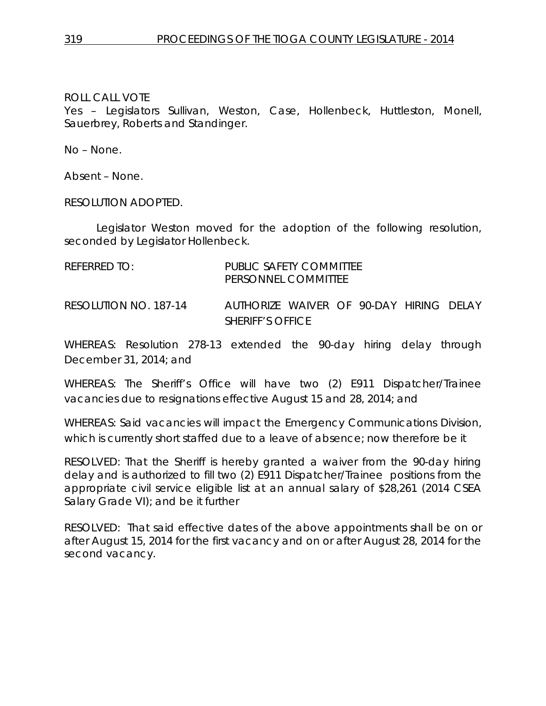Yes – Legislators Sullivan, Weston, Case, Hollenbeck, Huttleston, Monell, Sauerbrey, Roberts and Standinger.

No – None.

Absent – None.

RESOLUTION ADOPTED.

Legislator Weston moved for the adoption of the following resolution, seconded by Legislator Hollenbeck.

| REFERRED TO: |                                                                     | PUBLIC SAFETY COMMITTEE<br>PERSONNEL COMMITTEE                     |  |  |  |
|--------------|---------------------------------------------------------------------|--------------------------------------------------------------------|--|--|--|
|              | RESOLUTION NO. 187-14                                               | AUTHORIZE WAIVER OF 90-DAY HIRING DELAY<br><b>SHERIFF'S OFFICE</b> |  |  |  |
|              | WHEREAS: Resolution 278-13 extended the 90-day biring delay through |                                                                    |  |  |  |

WHEREAS: Resolution 278-13 extended the 90-day hiring delay through December 31, 2014; and

WHEREAS: The Sheriff's Office will have two (2) E911 Dispatcher/Trainee vacancies due to resignations effective August 15 and 28, 2014; and

WHEREAS: Said vacancies will impact the Emergency Communications Division, which is currently short staffed due to a leave of absence; now therefore be it

RESOLVED: That the Sheriff is hereby granted a waiver from the 90-day hiring delay and is authorized to fill two (2) E911 Dispatcher/Trainee positions from the appropriate civil service eligible list at an annual salary of \$28,261 (2014 CSEA Salary Grade VI); and be it further

RESOLVED: That said effective dates of the above appointments shall be on or after August 15, 2014 for the first vacancy and on or after August 28, 2014 for the second vacancy.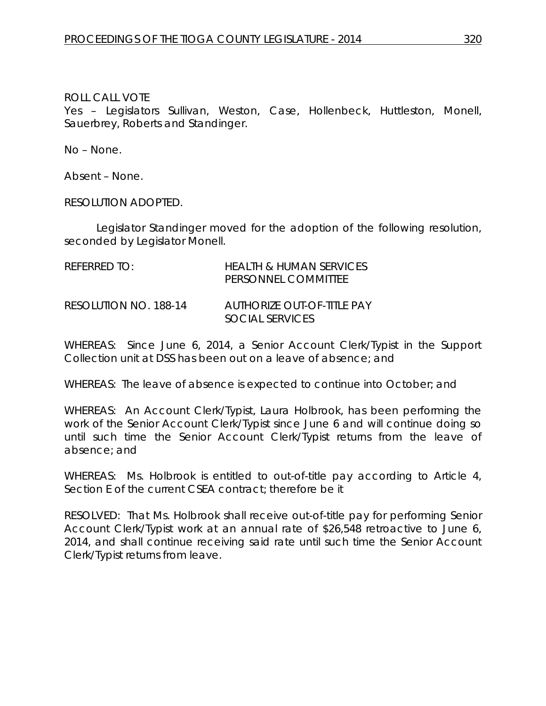Yes – Legislators Sullivan, Weston, Case, Hollenbeck, Huttleston, Monell, Sauerbrey, Roberts and Standinger.

No – None.

Absent – None.

RESOLUTION ADOPTED.

Legislator Standinger moved for the adoption of the following resolution, seconded by Legislator Monell.

| REFERRED TO:          | <b>HEALTH &amp; HUMAN SERVICES</b><br>PERSONNEL COMMITTEE |
|-----------------------|-----------------------------------------------------------|
| RESOLUTION NO. 188-14 | AUTHORIZE OUT-OF-TITLE PAY<br>SOCIAL SERVICES             |

WHEREAS: Since June 6, 2014, a Senior Account Clerk/Typist in the Support Collection unit at DSS has been out on a leave of absence; and

WHEREAS: The leave of absence is expected to continue into October; and

WHEREAS: An Account Clerk/Typist, Laura Holbrook, has been performing the work of the Senior Account Clerk/Typist since June 6 and will continue doing so until such time the Senior Account Clerk/Typist returns from the leave of absence; and

WHEREAS: Ms. Holbrook is entitled to out-of-title pay according to Article 4, Section E of the current CSEA contract; therefore be it

RESOLVED: That Ms. Holbrook shall receive out-of-title pay for performing Senior Account Clerk/Typist work at an annual rate of \$26,548 retroactive to June 6, 2014, and shall continue receiving said rate until such time the Senior Account Clerk/Typist returns from leave.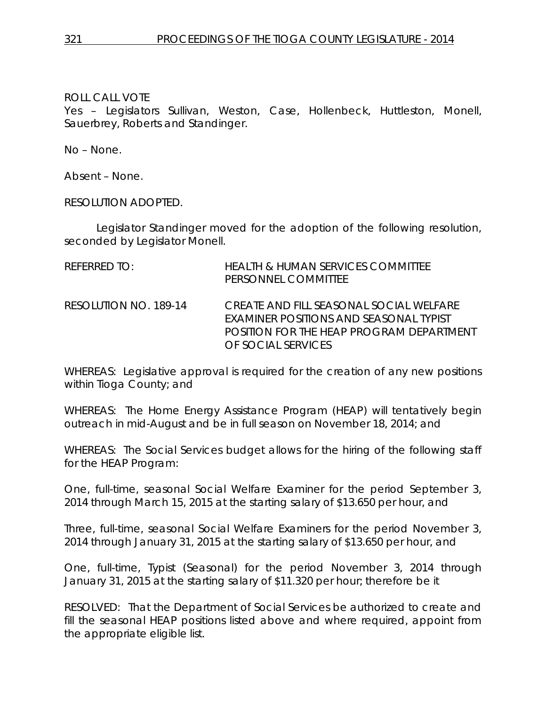Yes – Legislators Sullivan, Weston, Case, Hollenbeck, Huttleston, Monell, Sauerbrey, Roberts and Standinger.

No – None.

Absent – None.

RESOLUTION ADOPTED.

Legislator Standinger moved for the adoption of the following resolution, seconded by Legislator Monell.

| REFERRED TO:          | HEALTH & HUMAN SERVICES COMMITTEE<br>PERSONNEL COMMITTEE                                                                                            |
|-----------------------|-----------------------------------------------------------------------------------------------------------------------------------------------------|
| RESOLUTION NO. 189-14 | CREATE AND FILL SEASONAL SOCIAL WELFARE<br>EXAMINER POSITIONS AND SEASONAL TYPIST<br>POSITION FOR THE HEAP PROGRAM DEPARTMENT<br>OF SOCIAL SERVICES |

WHEREAS: Legislative approval is required for the creation of any new positions within Tioga County; and

WHEREAS: The Home Energy Assistance Program (HEAP) will tentatively begin outreach in mid-August and be in full season on November 18, 2014; and

WHEREAS: The Social Services budget allows for the hiring of the following staff for the HEAP Program:

One, full-time, seasonal Social Welfare Examiner for the period September 3, 2014 through March 15, 2015 at the starting salary of \$13.650 per hour, and

Three, full-time, seasonal Social Welfare Examiners for the period November 3, 2014 through January 31, 2015 at the starting salary of \$13.650 per hour, and

One, full-time, Typist (Seasonal) for the period November 3, 2014 through January 31, 2015 at the starting salary of \$11.320 per hour; therefore be it

RESOLVED: That the Department of Social Services be authorized to create and fill the seasonal HEAP positions listed above and where required, appoint from the appropriate eligible list.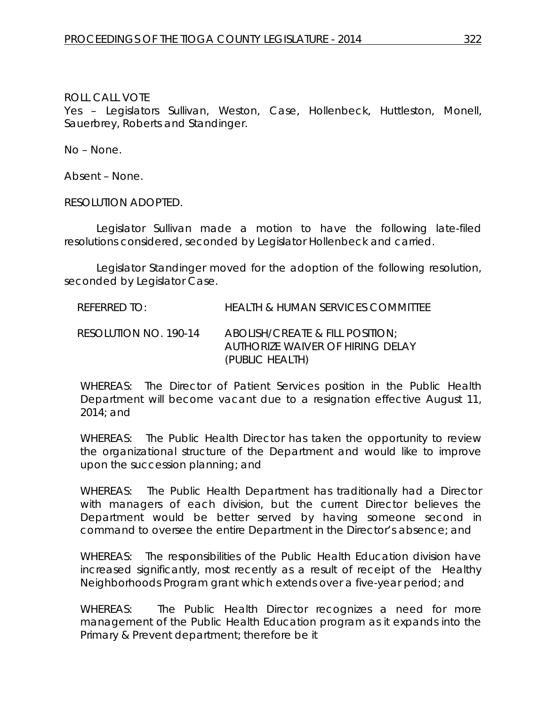Yes – Legislators Sullivan, Weston, Case, Hollenbeck, Huttleston, Monell, Sauerbrey, Roberts and Standinger.

No – None.

Absent – None.

RESOLUTION ADOPTED.

Legislator Sullivan made a motion to have the following late-filed resolutions considered, seconded by Legislator Hollenbeck and carried.

Legislator Standinger moved for the adoption of the following resolution, seconded by Legislator Case.

REFERRED TO: HEALTH & HUMAN SERVICES COMMITTEE

RESOLUTION NO. 190-14 *ABOLISH/CREATE & FILL POSITION; AUTHORIZE WAIVER OF HIRING DELAY (PUBLIC HEALTH)*

WHEREAS: The Director of Patient Services position in the Public Health Department will become vacant due to a resignation effective August 11, 2014; and

WHEREAS: The Public Health Director has taken the opportunity to review the organizational structure of the Department and would like to improve upon the succession planning; and

WHEREAS: The Public Health Department has traditionally had a Director with managers of each division, but the current Director believes the Department would be better served by having someone second in command to oversee the entire Department in the Director's absence; and

WHEREAS: The responsibilities of the Public Health Education division have increased significantly, most recently as a result of receipt of the Healthy Neighborhoods Program grant which extends over a five-year period; and

WHEREAS: The Public Health Director recognizes a need for more management of the Public Health Education program as it expands into the Primary & Prevent department; therefore be it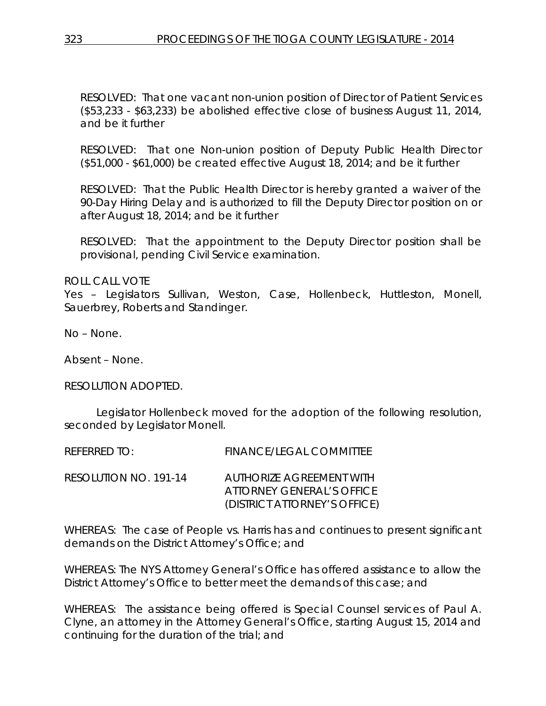RESOLVED: That one vacant non-union position of Director of Patient Services (\$53,233 - \$63,233) be abolished effective close of business August 11, 2014, and be it further

RESOLVED: That one Non-union position of Deputy Public Health Director (\$51,000 - \$61,000) be created effective August 18, 2014; and be it further

RESOLVED: That the Public Health Director is hereby granted a waiver of the 90-Day Hiring Delay and is authorized to fill the Deputy Director position on or after August 18, 2014; and be it further

RESOLVED: That the appointment to the Deputy Director position shall be provisional, pending Civil Service examination.

ROLL CALL VOTE

Yes – Legislators Sullivan, Weston, Case, Hollenbeck, Huttleston, Monell, Sauerbrey, Roberts and Standinger.

No – None.

Absent – None.

RESOLUTION ADOPTED.

Legislator Hollenbeck moved for the adoption of the following resolution, seconded by Legislator Monell.

| REFERRED TO:          | <b>FINANCE/LEGAL COMMITTEE</b>                                                        |
|-----------------------|---------------------------------------------------------------------------------------|
| RESOLUTION NO. 191-14 | AUTHORIZE AGREEMENT WITH<br>ATIORNEY GENERAL'S OFFICE<br>(DISTRICT ATTORNEY'S OFFICE) |

WHEREAS: The case of People vs. Harris has and continues to present significant demands on the District Attorney's Office; and

WHEREAS: The NYS Attorney General's Office has offered assistance to allow the District Attorney's Office to better meet the demands of this case; and

WHEREAS: The assistance being offered is Special Counsel services of Paul A. Clyne, an attorney in the Attorney General's Office, starting August 15, 2014 and continuing for the duration of the trial; and